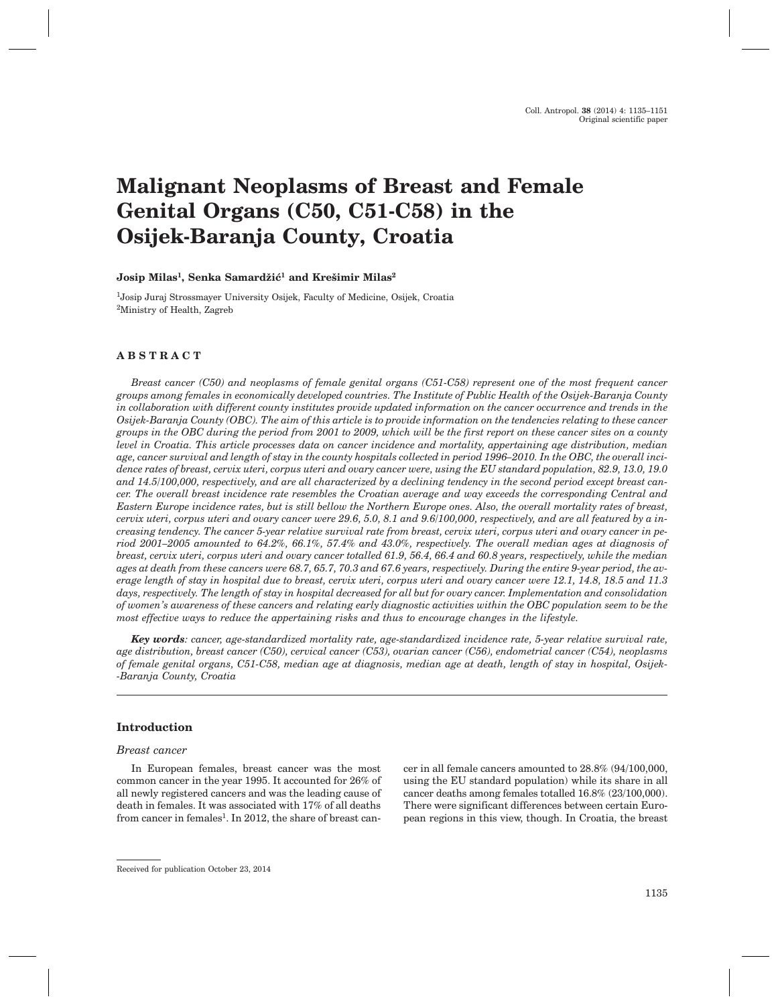# **Malignant Neoplasms of Breast and Female Genital Organs (C50, C51-C58) in the Osijek-Baranja County, Croatia**

#### **Josip Milas1, Senka Samard`i}1 and Kre{imir Milas2**

1Josip Juraj Strossmayer University Osijek, Faculty of Medicine, Osijek, Croatia 2Ministry of Health, Zagreb

#### **ABSTRACT**

*Breast cancer (C50) and neoplasms of female genital organs (C51-C58) represent one of the most frequent cancer groups among females in economically developed countries. The Institute of Public Health of the Osijek-Baranja County in collaboration with different county institutes provide updated information on the cancer occurrence and trends in the Osijek-Baranja County (OBC). The aim of this article is to provide information on the tendencies relating to these cancer groups in the OBC during the period from 2001 to 2009, which will be the first report on these cancer sites on a county level in Croatia. This article processes data on cancer incidence and mortality, appertaining age distribution, median age, cancer survival and length of stay in the county hospitals collected in period 1996–2010. In the OBC, the overall incidence rates of breast, cervix uteri, corpus uteri and ovary cancer were, using the EU standard population, 82.9, 13.0, 19.0 and 14.5/100,000, respectively, and are all characterized by a declining tendency in the second period except breast cancer. The overall breast incidence rate resembles the Croatian average and way exceeds the corresponding Central and Eastern Europe incidence rates, but is still bellow the Northern Europe ones. Also, the overall mortality rates of breast, cervix uteri, corpus uteri and ovary cancer were 29.6, 5.0, 8.1 and 9.6/100,000, respectively, and are all featured by a increasing tendency. The cancer 5-year relative survival rate from breast, cervix uteri, corpus uteri and ovary cancer in period 2001–2005 amounted to 64.2%, 66.1%, 57.4% and 43.0%, respectively. The overall median ages at diagnosis of breast, cervix uteri, corpus uteri and ovary cancer totalled 61.9, 56.4, 66.4 and 60.8 years, respectively, while the median ages at death from these cancers were 68.7, 65.7, 70.3 and 67.6 years, respectively. During the entire 9-year period, the average length of stay in hospital due to breast, cervix uteri, corpus uteri and ovary cancer were 12.1, 14.8, 18.5 and 11.3 days, respectively. The length of stay in hospital decreased for all but for ovary cancer. Implementation and consolidation of women's awareness of these cancers and relating early diagnostic activities within the OBC population seem to be the most effective ways to reduce the appertaining risks and thus to encourage changes in the lifestyle.*

*Key words: cancer, age-standardized mortality rate, age-standardized incidence rate, 5-year relative survival rate, age distribution, breast cancer (C50), cervical cancer (C53), ovarian cancer (C56), endometrial cancer (C54), neoplasms of female genital organs, C51-C58, median age at diagnosis, median age at death, length of stay in hospital, Osijek- -Baranja County, Croatia*

## **Introduction**

#### *Breast cancer*

In European females, breast cancer was the most common cancer in the year 1995. It accounted for 26% of all newly registered cancers and was the leading cause of death in females. It was associated with 17% of all deaths from cancer in females<sup>1</sup>. In 2012, the share of breast cancer in all female cancers amounted to 28.8% (94/100,000, using the EU standard population) while its share in all cancer deaths among females totalled 16.8% (23/100,000). There were significant differences between certain European regions in this view, though. In Croatia, the breast

Received for publication October 23, 2014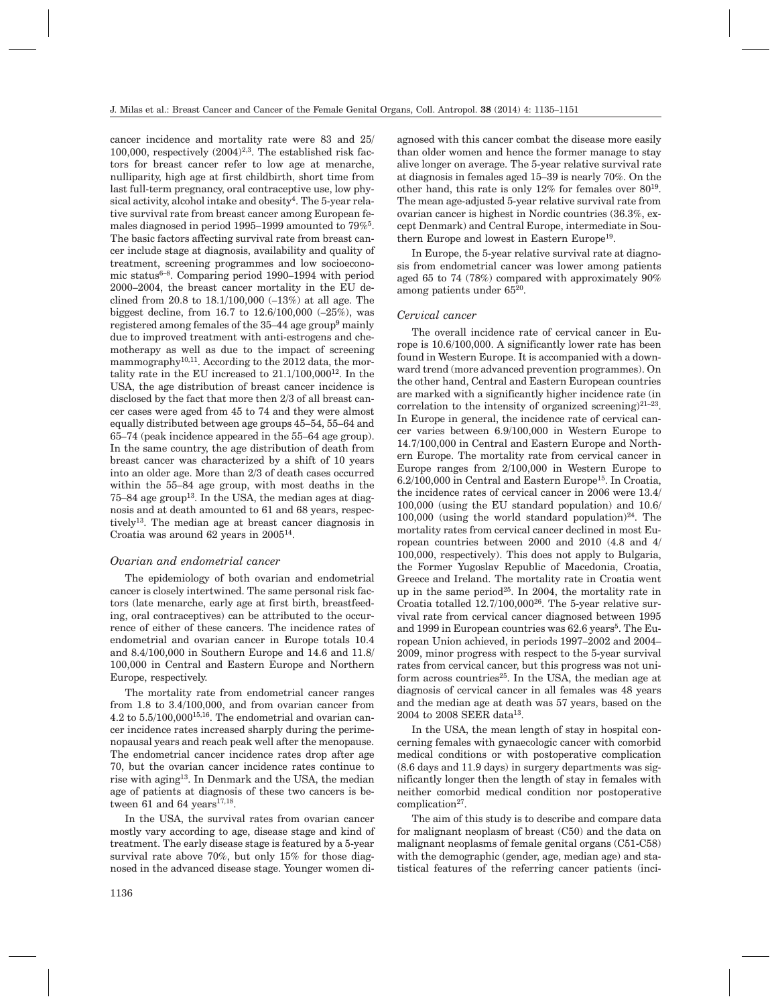cancer incidence and mortality rate were 83 and 25/ 100,000, respectively  $(2004)^{2,3}$ . The established risk factors for breast cancer refer to low age at menarche, nulliparity, high age at first childbirth, short time from last full-term pregnancy, oral contraceptive use, low physical activity, alcohol intake and obesity<sup>4</sup>. The 5-year relative survival rate from breast cancer among European females diagnosed in period 1995–1999 amounted to 79%5. The basic factors affecting survival rate from breast cancer include stage at diagnosis, availability and quality of treatment, screening programmes and low socioeconomic status<sup>6–8</sup>. Comparing period 1990–1994 with period 2000–2004, the breast cancer mortality in the EU declined from 20.8 to 18.1/100,000 (–13%) at all age. The biggest decline, from 16.7 to 12.6/100,000 (–25%), was registered among females of the 35–44 age group9 mainly due to improved treatment with anti-estrogens and chemotherapy as well as due to the impact of screening mammography<sup>10,11</sup>. According to the 2012 data, the mortality rate in the EU increased to  $21.1/100,000^{12}$ . In the USA, the age distribution of breast cancer incidence is disclosed by the fact that more then 2/3 of all breast cancer cases were aged from 45 to 74 and they were almost equally distributed between age groups 45–54, 55–64 and 65–74 (peak incidence appeared in the 55–64 age group). In the same country, the age distribution of death from breast cancer was characterized by a shift of 10 years into an older age. More than 2/3 of death cases occurred within the 55–84 age group, with most deaths in the  $75-84$  age group<sup>13</sup>. In the USA, the median ages at diagnosis and at death amounted to 61 and 68 years, respectively13. The median age at breast cancer diagnosis in Croatia was around 62 years in 200514.

#### *Ovarian and endometrial cancer*

The epidemiology of both ovarian and endometrial cancer is closely intertwined. The same personal risk factors (late menarche, early age at first birth, breastfeeding, oral contraceptives) can be attributed to the occurrence of either of these cancers. The incidence rates of endometrial and ovarian cancer in Europe totals 10.4 and 8.4/100,000 in Southern Europe and 14.6 and 11.8/ 100,000 in Central and Eastern Europe and Northern Europe, respectively.

The mortality rate from endometrial cancer ranges from 1.8 to 3.4/100,000, and from ovarian cancer from 4.2 to  $5.5/100.000^{15,16}$ . The endometrial and ovarian cancer incidence rates increased sharply during the perimenopausal years and reach peak well after the menopause. The endometrial cancer incidence rates drop after age 70, but the ovarian cancer incidence rates continue to rise with aging13. In Denmark and the USA, the median age of patients at diagnosis of these two cancers is between 61 and 64 years $17,18$ .

In the USA, the survival rates from ovarian cancer mostly vary according to age, disease stage and kind of treatment. The early disease stage is featured by a 5-year survival rate above 70%, but only 15% for those diagnosed in the advanced disease stage. Younger women di-

1136

agnosed with this cancer combat the disease more easily than older women and hence the former manage to stay alive longer on average. The 5-year relative survival rate at diagnosis in females aged 15–39 is nearly 70%. On the other hand, this rate is only 12% for females over 8019. The mean age-adjusted 5-year relative survival rate from ovarian cancer is highest in Nordic countries (36.3%, except Denmark) and Central Europe, intermediate in Southern Europe and lowest in Eastern Europe<sup>19</sup>.

In Europe, the 5-year relative survival rate at diagnosis from endometrial cancer was lower among patients aged 65 to 74 (78%) compared with approximately 90% among patients under 6520.

#### *Cervical cancer*

The overall incidence rate of cervical cancer in Europe is 10.6/100,000. A significantly lower rate has been found in Western Europe. It is accompanied with a downward trend (more advanced prevention programmes). On the other hand, Central and Eastern European countries are marked with a significantly higher incidence rate (in correlation to the intensity of organized screening) $21-23$ . In Europe in general, the incidence rate of cervical cancer varies between 6.9/100,000 in Western Europe to 14.7/100,000 in Central and Eastern Europe and Northern Europe. The mortality rate from cervical cancer in Europe ranges from 2/100,000 in Western Europe to 6.2/100,000 in Central and Eastern Europe15. In Croatia, the incidence rates of cervical cancer in 2006 were 13.4/ 100,000 (using the EU standard population) and 10.6/  $100,000$  (using the world standard population)<sup>24</sup>. The mortality rates from cervical cancer declined in most European countries between 2000 and 2010 (4.8 and 4/ 100,000, respectively). This does not apply to Bulgaria, the Former Yugoslav Republic of Macedonia, Croatia, Greece and Ireland. The mortality rate in Croatia went up in the same period<sup>25</sup>. In 2004, the mortality rate in Croatia totalled 12.7/100,00026. The 5-year relative survival rate from cervical cancer diagnosed between 1995 and 1999 in European countries was  $62.6$  years<sup>5</sup>. The European Union achieved, in periods 1997–2002 and 2004– 2009, minor progress with respect to the 5-year survival rates from cervical cancer, but this progress was not uniform across countries<sup>25</sup>. In the USA, the median age at diagnosis of cervical cancer in all females was 48 years and the median age at death was 57 years, based on the 2004 to 2008 SEER data13.

In the USA, the mean length of stay in hospital concerning females with gynaecologic cancer with comorbid medical conditions or with postoperative complication (8.6 days and 11.9 days) in surgery departments was significantly longer then the length of stay in females with neither comorbid medical condition nor postoperative complication<sup>27</sup>.

The aim of this study is to describe and compare data for malignant neoplasm of breast (C50) and the data on malignant neoplasms of female genital organs (C51-C58) with the demographic (gender, age, median age) and statistical features of the referring cancer patients (inci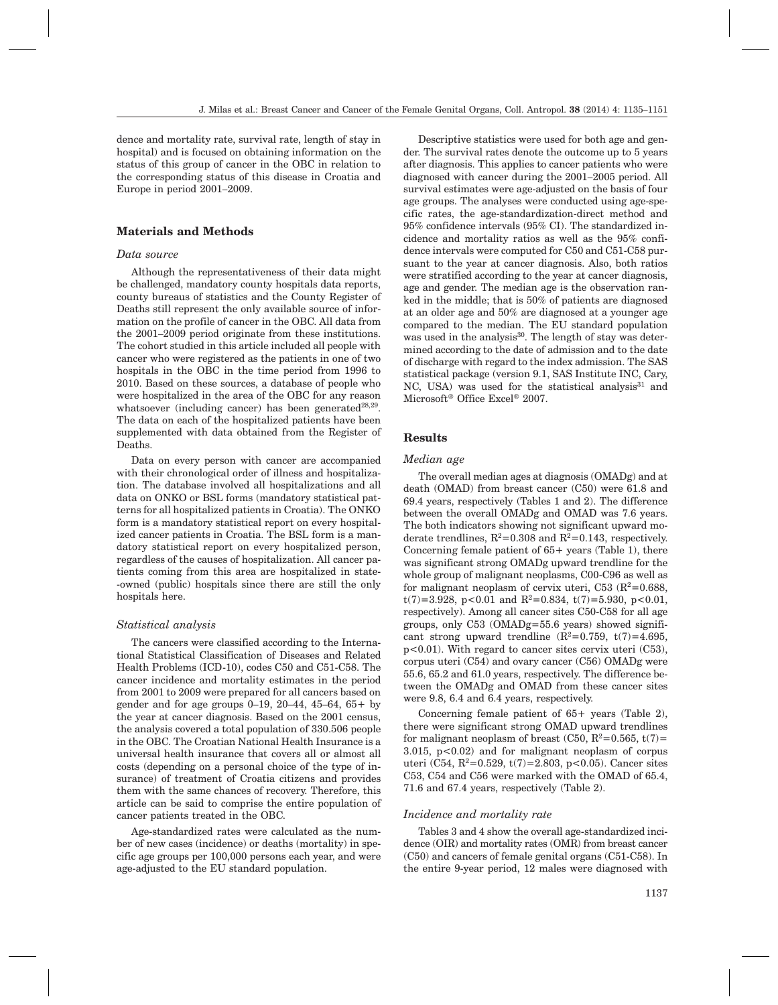dence and mortality rate, survival rate, length of stay in hospital) and is focused on obtaining information on the status of this group of cancer in the OBC in relation to the corresponding status of this disease in Croatia and Europe in period 2001–2009.

# **Materials and Methods**

## *Data source*

Although the representativeness of their data might be challenged, mandatory county hospitals data reports, county bureaus of statistics and the County Register of Deaths still represent the only available source of information on the profile of cancer in the OBC. All data from the 2001–2009 period originate from these institutions. The cohort studied in this article included all people with cancer who were registered as the patients in one of two hospitals in the OBC in the time period from 1996 to 2010. Based on these sources, a database of people who were hospitalized in the area of the OBC for any reason whatsoever (including cancer) has been generated $28,29$ . The data on each of the hospitalized patients have been supplemented with data obtained from the Register of Deaths.

Data on every person with cancer are accompanied with their chronological order of illness and hospitalization. The database involved all hospitalizations and all data on ONKO or BSL forms (mandatory statistical patterns for all hospitalized patients in Croatia). The ONKO form is a mandatory statistical report on every hospitalized cancer patients in Croatia. The BSL form is a mandatory statistical report on every hospitalized person, regardless of the causes of hospitalization. All cancer patients coming from this area are hospitalized in state- -owned (public) hospitals since there are still the only hospitals here.

#### *Statistical analysis*

The cancers were classified according to the International Statistical Classification of Diseases and Related Health Problems (ICD-10), codes C50 and C51-C58. The cancer incidence and mortality estimates in the period from 2001 to 2009 were prepared for all cancers based on gender and for age groups  $0-19$ ,  $20-44$ ,  $45-64$ ,  $65+$  by the year at cancer diagnosis. Based on the 2001 census, the analysis covered a total population of 330.506 people in the OBC. The Croatian National Health Insurance is a universal health insurance that covers all or almost all costs (depending on a personal choice of the type of insurance) of treatment of Croatia citizens and provides them with the same chances of recovery. Therefore, this article can be said to comprise the entire population of cancer patients treated in the OBC.

Age-standardized rates were calculated as the number of new cases (incidence) or deaths (mortality) in specific age groups per 100,000 persons each year, and were age-adjusted to the EU standard population.

Descriptive statistics were used for both age and gender. The survival rates denote the outcome up to 5 years after diagnosis. This applies to cancer patients who were diagnosed with cancer during the 2001–2005 period. All survival estimates were age-adjusted on the basis of four age groups. The analyses were conducted using age-specific rates, the age-standardization-direct method and 95% confidence intervals (95% CI). The standardized incidence and mortality ratios as well as the 95% confidence intervals were computed for C50 and C51-C58 pursuant to the year at cancer diagnosis. Also, both ratios were stratified according to the year at cancer diagnosis, age and gender. The median age is the observation ranked in the middle; that is 50% of patients are diagnosed at an older age and 50% are diagnosed at a younger age compared to the median. The EU standard population was used in the analysis<sup>30</sup>. The length of stay was determined according to the date of admission and to the date of discharge with regard to the index admission. The SAS statistical package (version 9.1, SAS Institute INC, Cary, NC, USA) was used for the statistical analysis<sup>31</sup> and Microsoft® Office Excel® 2007.

## **Results**

#### *Median age*

The overall median ages at diagnosis (OMADg) and at death (OMAD) from breast cancer (C50) were 61.8 and 69.4 years, respectively (Tables 1 and 2). The difference between the overall OMADg and OMAD was 7.6 years. The both indicators showing not significant upward moderate trendlines,  $R^2=0.308$  and  $R^2=0.143$ , respectively. Concerning female patient of  $65+$  years (Table 1), there was significant strong OMADg upward trendline for the whole group of malignant neoplasms, C00-C96 as well as for malignant neoplasm of cervix uteri, C53  $(R^2=0.688,$ t(7)=3.928, p<0.01 and  $R^2$ =0.834, t(7)=5.930, p<0.01, respectively). Among all cancer sites C50-C58 for all age groups, only C53 (OMADg=55.6 years) showed significant strong upward trendline  $(R^2=0.759, t(7)=4.695,$ p<0.01). With regard to cancer sites cervix uteri (C53), corpus uteri (C54) and ovary cancer (C56) OMADg were 55.6, 65.2 and 61.0 years, respectively. The difference between the OMADg and OMAD from these cancer sites were 9.8, 6.4 and 6.4 years, respectively.

Concerning female patient of 65+ years (Table 2), there were significant strong OMAD upward trendlines for malignant neoplasm of breast (C50,  $R^2=0.565$ ,  $t(7)=$ 3.015,  $p<0.02$  and for malignant neoplasm of corpus uteri (C54,  $R^2 = 0.529$ ,  $t(7) = 2.803$ ,  $p < 0.05$ ). Cancer sites C53, C54 and C56 were marked with the OMAD of 65.4, 71.6 and 67.4 years, respectively (Table 2).

#### *Incidence and mortality rate*

Tables 3 and 4 show the overall age-standardized incidence (OIR) and mortality rates (OMR) from breast cancer (C50) and cancers of female genital organs (C51-C58). In the entire 9-year period, 12 males were diagnosed with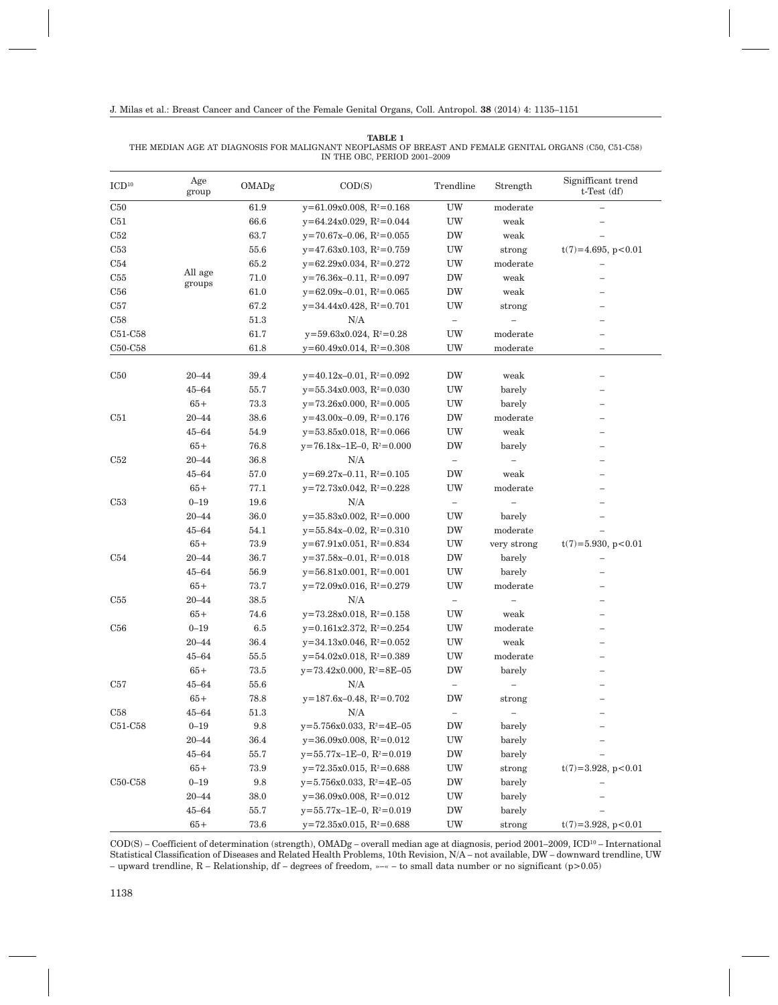| THE MEDIAN AGE AT DIAGNOSIS FOR MALIGNANT NEOPLASMS OF BREAST AND FEMALE GENITAL ORGANS (C50, C51-C58) |  |
|--------------------------------------------------------------------------------------------------------|--|
| IN THE OBC, PERIOD 2001–2009                                                                           |  |

| $\mathrm{ICD^{10}}$              | Age<br>group      | OMADg    | COD(S)                        | Trendline                | Strength                 | Signifficant trend<br>t-Test (df) |
|----------------------------------|-------------------|----------|-------------------------------|--------------------------|--------------------------|-----------------------------------|
| C50                              |                   | 61.9     | $y=61.09x0.008$ , $R^2=0.168$ | <b>UW</b>                | moderate                 |                                   |
| C51                              |                   | 66.6     | $y=64.24x0.029$ , $R^2=0.044$ | <b>UW</b>                | weak                     |                                   |
| C52                              |                   | 63.7     | $y=70.67x-0.06$ , $R^2=0.055$ | DW                       | weak                     |                                   |
| C53                              |                   | $55.6\,$ | $y=47.63x0.103$ , $R^2=0.759$ | UW                       | strong                   | $t(7)=4.695, p<0.01$              |
| C54                              |                   | 65.2     | $y=62.29x0.034$ , $R^2=0.272$ | UW                       | moderate                 |                                   |
| C55                              | All age<br>groups | 71.0     | $y=76.36x-0.11$ , $R^2=0.097$ | <b>DW</b>                | weak                     |                                   |
| C56                              |                   | 61.0     | $y=62.09x-0.01$ , $R^2=0.065$ | <b>DW</b>                | weak                     |                                   |
| C57                              |                   | 67.2     | $y=34.44x0.428$ , $R^2=0.701$ | <b>UW</b>                | strong                   |                                   |
| C58                              |                   | $51.3\,$ | N/A                           | $\overline{\phantom{a}}$ |                          |                                   |
| C51-C58                          |                   | 61.7     | $y=59.63x0.024$ , $R^2=0.28$  | UW                       | moderate                 |                                   |
| C <sub>50</sub> -C <sub>58</sub> |                   | 61.8     | $y=60.49x0.014$ , $R^2=0.308$ | <b>UW</b>                | moderate                 | ÷,                                |
| C50                              | $20 - 44$         | $39.4\,$ | $y=40.12x-0.01$ , $R^2=0.092$ | <b>DW</b>                | weak                     |                                   |
|                                  | $45 - 64$         | 55.7     | $y=55.34x0.003$ , $R^2=0.030$ | <b>UW</b>                | barely                   |                                   |
|                                  | $65+$             | 73.3     | $y=73.26x0.000, R^2=0.005$    | UW                       | barely                   |                                   |
| C51                              | $20 - 44$         | 38.6     | $y=43.00x-0.09$ , $R^2=0.176$ | DW                       | moderate                 |                                   |
|                                  | $45 - 64$         | 54.9     | $y=53.85x0.018$ , $R^2=0.066$ | UW                       | weak                     |                                   |
|                                  | $65+$             | 76.8     | $y=76.18x-1E-0$ , $R^2=0.000$ | DW                       | barely                   |                                   |
| C52                              | $20 - 44$         | 36.8     | N/A                           | $\overline{\phantom{0}}$ |                          |                                   |
|                                  | $45 - 64$         | $57.0\,$ | $y=69.27x-0.11, R^2=0.105$    | <b>DW</b>                | weak                     |                                   |
|                                  | $65+$             | 77.1     | $y=72.73x0.042$ , $R^2=0.228$ | UW                       | moderate                 |                                   |
| C53                              | $0 - 19$          | 19.6     | N/A                           | ÷.                       |                          |                                   |
|                                  | $20 - 44$         | 36.0     | $y=35.83x0.002, R^2=0.000$    | <b>UW</b>                | barely                   |                                   |
|                                  | $45 - 64$         | 54.1     | $y=55.84x-0.02$ , $R^2=0.310$ | <b>DW</b>                | moderate                 |                                   |
|                                  | $65+$             | 73.9     | $y=67.91x0.051, R^2=0.834$    | UW                       | very strong              | $t(7)=5.930, p<0.01$              |
| C54                              | $20 - 44$         | 36.7     | $y=37.58x-0.01$ , $R^2=0.018$ | DW                       | barely                   |                                   |
|                                  | $45 - 64$         | 56.9     | $y=56.81x0.001$ , $R^2=0.001$ | UW                       | barely                   |                                   |
|                                  | $65+$             | 73.7     | $y=72.09x0.016$ , $R^2=0.279$ | UW                       | moderate                 |                                   |
| C55                              | $20 - 44$         | 38.5     | N/A                           | $\overline{\phantom{0}}$ |                          |                                   |
|                                  | $65+$             | 74.6     | $y=73.28x0.018$ , $R^2=0.158$ | UW                       | weak                     |                                   |
| C <sub>56</sub>                  | $0 - 19$          | $6.5\,$  | $y=0.161x2.372, R^2=0.254$    | UW                       | moderate                 |                                   |
|                                  | $20 - 44$         | 36.4     | $y=34.13x0.046$ , $R^2=0.052$ | UW                       | weak                     |                                   |
|                                  | $45 - 64$         | 55.5     | $y=54.02x0.018$ , $R^2=0.389$ | UW                       | moderate                 |                                   |
|                                  | $65+$             | 73.5     | $y=73.42x0.000, R^2=8E-05$    | <b>DW</b>                | barely                   | $\overline{\phantom{0}}$          |
| C57                              | $45 - 64$         | 55.6     | N/A                           | $\qquad \qquad -$        | $\overline{\phantom{0}}$ |                                   |
|                                  | $65+$             | 78.8     | $y=187.6x-0.48$ , $R^2=0.702$ | ${\rm DW}$               | strong                   |                                   |
| C58                              | $45 - 64$         | 51.3     | N/A                           | $\overline{\phantom{a}}$ | $\qquad \qquad -$        |                                   |
| C51-C58                          | $0 - 19$          | 9.8      | $y=5.756x0.033, R^2=4E-05$    | <b>DW</b>                | barely                   |                                   |
|                                  | $20 - 44$         | $36.4\,$ | $y=36.09x0.008$ , $R^2=0.012$ | UW                       | barely                   |                                   |
|                                  | $45 - 64$         | $55.7\,$ | $y=55.77x-1E-0$ , $R^2=0.019$ | DW                       | barely                   |                                   |
|                                  | $65+$             | 73.9     | $y=72.35x0.015$ , $R^2=0.688$ | UW                       | strong                   | $t(7)=3.928, p<0.01$              |
| C50-C58                          | $0 - 19$          | 9.8      | $y=5.756x0.033, R^2=4E-05$    | <b>DW</b>                | barely                   |                                   |
|                                  | $20 - 44$         | 38.0     | $y=36.09x0.008$ , $R^2=0.012$ | UW                       | barely                   |                                   |
|                                  | $45 - 64$         | $55.7\,$ | $y=55.77x-1E-0$ , $R^2=0.019$ | DW                       | barely                   |                                   |
|                                  | $65+$             | $73.6\,$ | $y=72.35x0.015$ , $R^2=0.688$ | ${\rm UW}$               | strong                   | $t(7)=3.928, p<0.01$              |

COD(S) – Coefficient of determination (strength), OMADg – overall median age at diagnosis, period 2001–2009, ICD10 – International Statistical Classification of Diseases and Related Health Problems, 10th Revision, N/A – not available, DW – downward trendline, UW – upward trendline,R–Relationship, df – degrees of freedom, »–« – to small data number or no significant (p>0.05)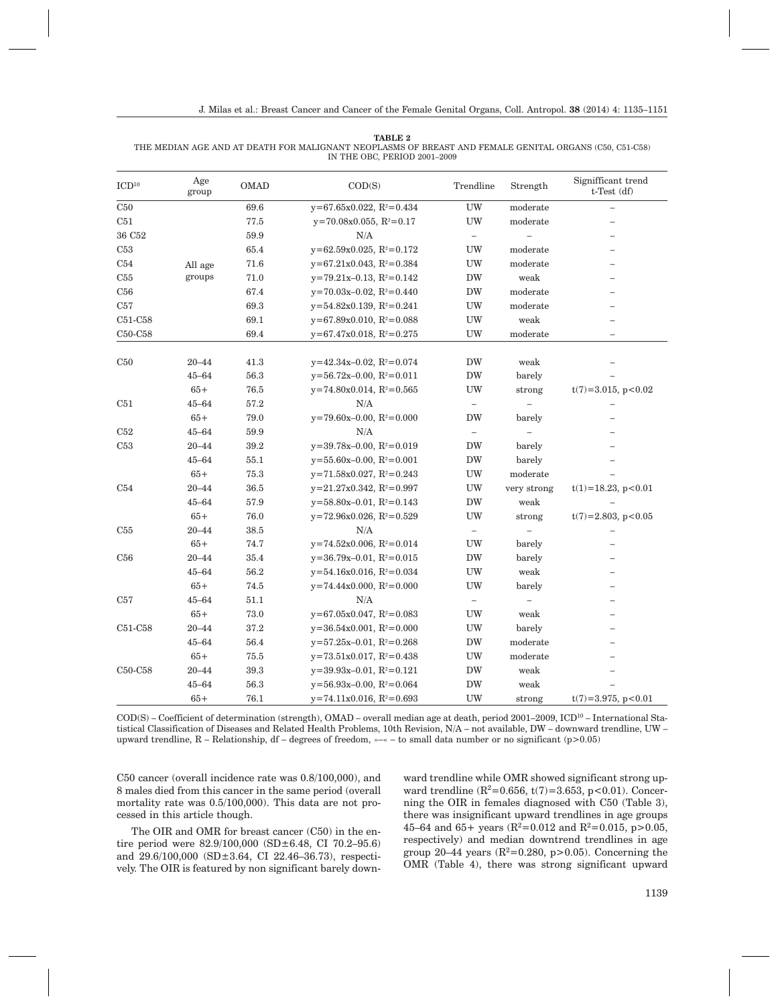THE MEDIAN AGE AND AT DEATH FOR MALIGNANT NEOPLASMS OF BREAST AND FEMALE GENITAL ORGANS (C50, C51-C58) IN THE OBC, PERIOD 2001–2009

| $\mathrm{ICD^{10}}$              | Age<br>group | <b>OMAD</b> | COD(S)                        | Trendline                | Strength    | Signifficant trend<br>t-Test (df) |
|----------------------------------|--------------|-------------|-------------------------------|--------------------------|-------------|-----------------------------------|
| C50                              |              | 69.6        | $y=67.65x0.022$ , $R^2=0.434$ | <b>UW</b>                | moderate    | $\overline{\phantom{0}}$          |
| C51                              |              | 77.5        | $y=70.08x0.055$ , $R^2=0.17$  | UW                       | moderate    |                                   |
| 36 C52                           |              | 59.9        | N/A                           |                          |             |                                   |
| C53                              |              | 65.4        | $y=62.59x0.025$ , $R^2=0.172$ | UW                       | moderate    |                                   |
| C54                              | All age      | 71.6        | $y=67.21x0.043$ , $R^2=0.384$ | UW                       | moderate    |                                   |
| C55                              | groups       | 71.0        | $y=79.21x-0.13$ , $R^2=0.142$ | <b>DW</b>                | weak        |                                   |
| C56                              |              | 67.4        | $y=70.03x-0.02$ , $R^2=0.440$ | <b>DW</b>                | moderate    |                                   |
| $\operatorname{C57}$             |              | 69.3        | $y=54.82x0.139$ , $R^2=0.241$ | UW                       | moderate    |                                   |
| C51-C58                          |              | 69.1        | $y=67.89x0.010$ , $R^2=0.088$ | UW                       | weak        |                                   |
| $C50-C58$                        |              | 69.4        | $y=67.47x0.018$ , $R^2=0.275$ | UW                       | moderate    |                                   |
| C50                              | $20 - 44$    | 41.3        | $y=42.34x-0.02$ , $R^2=0.074$ | <b>DW</b>                | weak        |                                   |
|                                  | $45 - 64$    | 56.3        | $y=56.72x-0.00$ , $R^2=0.011$ | <b>DW</b>                | barely      |                                   |
|                                  | $65+$        | 76.5        | $y=74.80x0.014$ , $R^2=0.565$ | UW                       | strong      | $t(7)=3.015, p<0.02$              |
| C51                              | $45 - 64$    | 57.2        | N/A                           | $\overline{\phantom{a}}$ |             |                                   |
|                                  | $65+$        | 79.0        | $y=79.60x-0.00$ , $R^2=0.000$ | <b>DW</b>                | barely      |                                   |
| C52                              | $45 - 64$    | 59.9        | N/A                           | $\overline{\phantom{m}}$ |             |                                   |
| C53                              | $20 - 44$    | 39.2        | $y=39.78x-0.00$ , $R^2=0.019$ | <b>DW</b>                | barely      |                                   |
|                                  | $45 - 64$    | $55.1\,$    | $y=55.60x-0.00$ , $R^2=0.001$ | <b>DW</b>                | barely      |                                   |
|                                  | $65+$        | 75.3        | $y=71.58x0.027$ , $R^2=0.243$ | UW                       | moderate    |                                   |
| C54                              | $20 - 44$    | 36.5        | $y=21.27x0.342$ , $R^2=0.997$ | UW                       | very strong | $t(1)=18.23, p<0.01$              |
|                                  | $45 - 64$    | 57.9        | $y=58.80x-0.01$ , $R^2=0.143$ | <b>DW</b>                | weak        |                                   |
|                                  | $65+$        | 76.0        | $y=72.96x0.026$ , $R^2=0.529$ | UW                       | strong      | $t(7)=2.803, p<0.05$              |
| C55                              | $20 - 44$    | 38.5        | N/A                           | $\overline{\phantom{a}}$ |             |                                   |
|                                  | $65+$        | 74.7        | $y=74.52x0.006$ , $R^2=0.014$ | UW                       | barely      |                                   |
| C <sub>56</sub>                  | $20 - 44$    | 35.4        | $y=36.79x-0.01$ , $R^2=0.015$ | <b>DW</b>                | barely      |                                   |
|                                  | $45 - 64$    | 56.2        | $y=54.16x0.016$ , $R^2=0.034$ | UW                       | weak        |                                   |
|                                  | $65+$        | 74.5        | $y=74.44x0.000, R^2=0.000$    | UW                       | barely      |                                   |
| C57                              | $45 - 64$    | 51.1        | N/A                           | $\overline{\phantom{a}}$ |             |                                   |
|                                  | $65+$        | 73.0        | $y=67.05x0.047$ , $R^2=0.083$ | UW                       | weak        |                                   |
| C51-C58                          | $20 - 44$    | 37.2        | $y=36.54x0.001$ , $R^2=0.000$ | UW                       | barely      |                                   |
|                                  | $45 - 64$    | 56.4        | $y=57.25x-0.01$ , $R^2=0.268$ | <b>DW</b>                | moderate    |                                   |
|                                  | $65+$        | $75.5\,$    | $y=73.51x0.017$ , $R^2=0.438$ | UW                       | moderate    |                                   |
| C <sub>50</sub> -C <sub>58</sub> | $20 - 44$    | 39.3        | $y=39.93x-0.01$ , $R^2=0.121$ | <b>DW</b>                | weak        |                                   |
|                                  | $45 - 64$    | 56.3        | $y=56.93x-0.00$ , $R^2=0.064$ | <b>DW</b>                | weak        |                                   |
|                                  | $65+$        | 76.1        | $y=74.11x0.016$ , $R^2=0.693$ | UW                       | strong      | $t(7)=3.975, p<0.01$              |

COD(S) – Coefficient of determination (strength), OMAD – overall median age at death, period 2001–2009, ICD10 – International Statistical Classification of Diseases and Related Health Problems, 10th Revision, N/A – not available, DW – downward trendline, UW – upward trendline,R–Relationship, df – degrees of freedom, »–« – to small data number or no significant (p>0.05)

C50 cancer (overall incidence rate was 0.8/100,000), and 8 males died from this cancer in the same period (overall mortality rate was 0.5/100,000). This data are not processed in this article though.

The OIR and OMR for breast cancer (C50) in the entire period were 82.9/100,000 (SD±6.48, CI 70.2–95.6) and 29.6/100,000 (SD±3.64, CI 22.46–36.73), respectively. The OIR is featured by non significant barely downward trendline while OMR showed significant strong upward trendline  $(R^2=0.656, t(7)=3.653, p<0.01)$ . Concerning the OIR in females diagnosed with C50 (Table 3), there was insignificant upward trendlines in age groups 45–64 and 65+ years ( $R^2$ =0.012 and  $R^2$ =0.015, p>0.05, respectively) and median downtrend trendlines in age group 20–44 years  $(R^2=0.280, p>0.05)$ . Concerning the OMR (Table 4), there was strong significant upward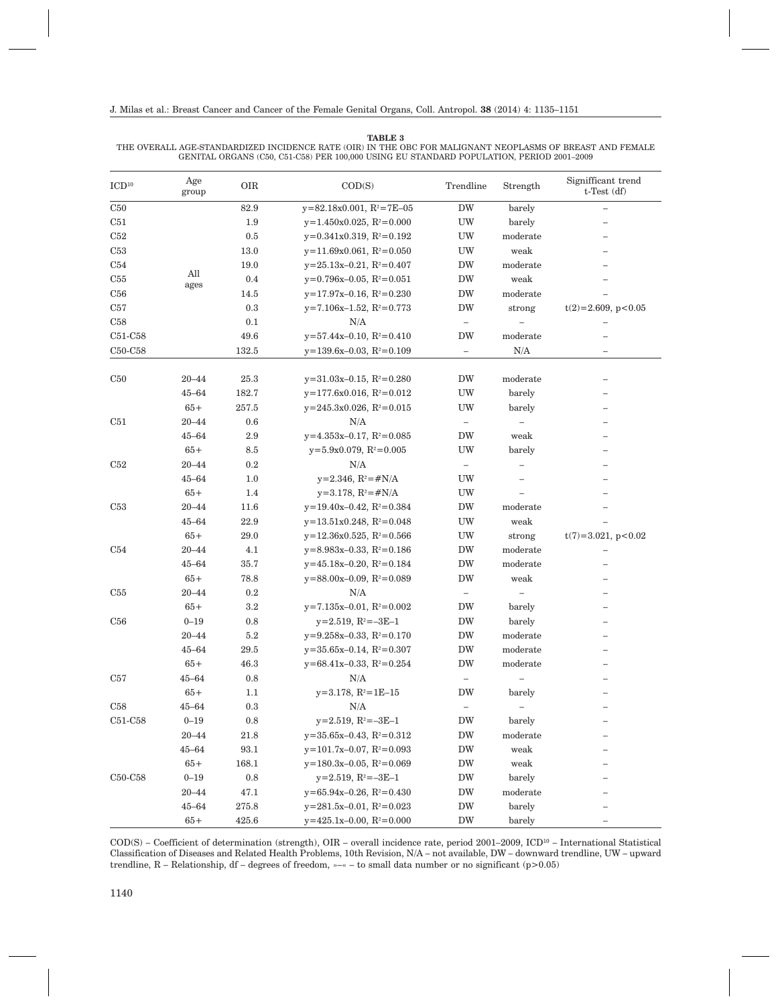THE OVERALL AGE-STANDARDIZED INCIDENCE RATE (OIR) IN THE OBC FOR MALIGNANT NEOPLASMS OF BREAST AND FEMALE GENITAL ORGANS (C50, C51-C58) PER 100,000 USING EU STANDARD POPULATION, PERIOD 2001–2009

| ICD <sup>10</sup>                | Age<br>group       | $\rm{OIR}$ | COD(S)                                                         | Trendline                | Strength           | Signifficant trend<br>t-Test (df) |
|----------------------------------|--------------------|------------|----------------------------------------------------------------|--------------------------|--------------------|-----------------------------------|
| C50                              |                    | 82.9       | $y=82.18x0.001$ , $R^2=7E-05$                                  | <b>DW</b>                | barely             |                                   |
| C51                              |                    | 1.9        | $y=1.450x0.025$ , $R^2=0.000$                                  | UW                       | barely             |                                   |
| C52                              |                    | 0.5        | $y=0.341x0.319$ , $R^2=0.192$                                  | UW                       | moderate           |                                   |
| C53                              |                    | 13.0       | $y=11.69x0.061, R^2=0.050$                                     | ${\rm UW}$               | weak               |                                   |
| C54                              |                    | 19.0       | $y=25.13x-0.21$ , $R^2=0.407$                                  | <b>DW</b>                | moderate           |                                   |
| C55                              | All                | 0.4        | $y=0.796x-0.05$ , $R^2=0.051$                                  | $\rm{DW}$                | weak               |                                   |
| C56                              | ages               | 14.5       | $y=17.97x-0.16$ , $R^2=0.230$                                  | $\rm{DW}$                | moderate           |                                   |
| C57                              |                    | $\rm 0.3$  | $y=7.106x-1.52$ , $R^2=0.773$                                  | <b>DW</b>                | strong             | $t(2)=2.609, p<0.05$              |
| C58                              |                    | 0.1        | N/A                                                            | $\qquad \qquad -$        |                    |                                   |
| $C51-C58$                        |                    | 49.6       | $y=57.44x-0.10$ , $R^2=0.410$                                  | <b>DW</b>                | moderate           |                                   |
| C <sub>50</sub> -C <sub>58</sub> |                    | 132.5      | $y=139.6x-0.03$ , $R^2=0.109$                                  | $\overline{\phantom{0}}$ | N/A                | ÷                                 |
| C50                              | $20 - 44$          | 25.3       | $y=31.03x-0.15$ , $R^2=0.280$                                  | $\rm{DW}$                | moderate           |                                   |
|                                  | $45 - 64$          | 182.7      | $y=177.6x0.016$ , $R^2=0.012$                                  | UW                       | barely             |                                   |
|                                  | $65+$              | 257.5      | $y=245.3x0.026$ , $R^2=0.015$                                  | UW                       | barely             |                                   |
| C51                              | $20 - 44$          | 0.6        | N/A                                                            | $\overline{\phantom{0}}$ |                    |                                   |
|                                  | $45 - 64$          | 2.9        | $y=4.353x-0.17$ , $R^2=0.085$                                  | <b>DW</b>                | weak               |                                   |
|                                  | $65+$              | 8.5        | $y=5.9x0.079$ , $R^2=0.005$                                    | UW                       | barely             |                                   |
| C52                              | $20 - 44$          | 0.2        | N/A                                                            | $\qquad \qquad -$        |                    |                                   |
|                                  | $45 - 64$          | 1.0        | $y=2.346$ , $R^2 = #N/A$                                       | UW                       |                    |                                   |
|                                  | $65+$              | 1.4        | $y=3.178$ , $R^2 = #N/A$                                       | <b>UW</b>                |                    |                                   |
| C53                              | $20 - 44$          | 11.6       | $y=19.40x-0.42$ , $R^2=0.384$                                  | $\rm{DW}$                | moderate           |                                   |
|                                  | $45 - 64$          | 22.9       | $y=13.51x0.248$ , $R^2=0.048$                                  | UW                       | weak               |                                   |
|                                  | $65+$              | 29.0       | $y=12.36x0.525$ , $R^2=0.566$                                  | UW                       | strong             | $t(7)=3.021, p<0.02$              |
| C54                              | $20 - 44$          | 4.1        | $y=8.983x-0.33$ , $R^2=0.186$                                  | <b>DW</b>                | moderate           |                                   |
|                                  | $45 - 64$          | 35.7       | $y=45.18x-0.20$ , $R^2=0.184$                                  | <b>DW</b>                | moderate           |                                   |
|                                  | $65+$              | 78.8       | $y=88.00x-0.09$ , $R^2=0.089$                                  | <b>DW</b>                | weak               |                                   |
| C <sub>55</sub>                  | $20 - 44$          | 0.2        | N/A                                                            |                          |                    |                                   |
|                                  | $65+$              | 3.2        | $y=7.135x-0.01$ , $R^2=0.002$                                  | $\qquad \qquad -$<br>DW  | barely             |                                   |
| C <sub>56</sub>                  | $0 - 19$           | 0.8        | $y=2.519$ , $R^2=-3E-1$                                        | <b>DW</b>                | barely             |                                   |
|                                  | $20 - 44$          | 5.2        | $y=9.258x-0.33, R^2=0.170$                                     |                          | moderate           |                                   |
|                                  | $45 - 64$          | 29.5       |                                                                | DW<br><b>DW</b>          | moderate           |                                   |
|                                  | $65+$              | 46.3       | $y=35.65x-0.14$ , $R^2=0.307$<br>$y=68.41x-0.33$ , $R^2=0.254$ | <b>DW</b>                | moderate           |                                   |
|                                  |                    |            | N/A                                                            |                          |                    |                                   |
| C57                              | $45 - 64$<br>$65+$ | $0.8\,$    |                                                                | ${\rm DW}$               |                    |                                   |
|                                  | $45 - 64$          | 1.1        | $y=3.178$ , $R^2=1E-15$                                        |                          | barely             |                                   |
| C58                              |                    | $\rm 0.3$  | N/A                                                            | $\qquad \qquad -$        |                    |                                   |
| C51-C58                          | $0 - 19$           | $\rm 0.8$  | $y=2.519, R^2=-3E-1$                                           | ${\rm DW}$               | barely             |                                   |
|                                  | $20 - 44$          | 21.8       | $y=35.65x-0.43$ , $R^2=0.312$                                  | DW                       | moderate           |                                   |
|                                  | $45 - 64$          | 93.1       | $y=101.7x-0.07$ , $R^2=0.093$                                  | ${\rm DW}$               | weak               |                                   |
|                                  | $65+$              | 168.1      | $y=180.3x-0.05$ , $R^2=0.069$                                  | ${\rm DW}$               | weak               |                                   |
| C50-C58                          | $0 - 19$           | 0.8        | $y=2.519$ , $R^2=-3E-1$                                        | DW                       | barely             |                                   |
|                                  | $20 - 44$          | 47.1       | $y=65.94x-0.26$ , $R^2=0.430$                                  | DW                       | $\,$ moderate $\,$ |                                   |
|                                  | $45 - 64$          | 275.8      | $y=281.5x-0.01$ , $R^2=0.023$                                  | ${\rm DW}$               | barely             |                                   |
|                                  | $65+$              | 425.6      | $y=425.1x-0.00$ , $R^2=0.000$                                  | <b>DW</b>                | barely             | -                                 |

COD(S) – Coefficient of determination (strength), OIR – overall incidence rate, period 2001–2009, ICD10 – International Statistical Classification of Diseases and Related Health Problems, 10th Revision, N/A – not available, DW – downward trendline, UW – upward trendline,R–Relationship, df – degrees of freedom, »–« – to small data number or no significant (p>0.05)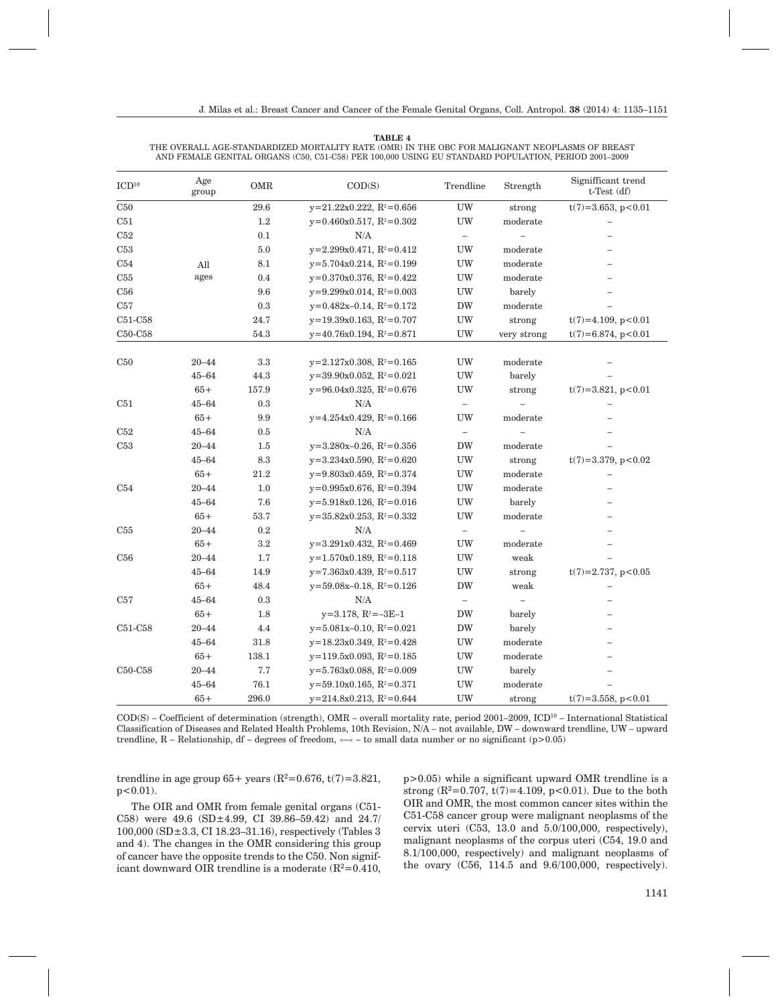**TABLE 4** THE OVERALL AGE-STANDARDIZED MORTALITY RATE (OMR) IN THE OBC FOR MALIGNANT NEOPLASMS OF BREAST AND FEMALE GENITAL ORGANS (C50, C51-C58) PER 100,000 USING EU STANDARD POPULATION, PERIOD 2001–2009

| $\mathrm{ICD}^{10}$ | Age<br>group | OMR       | COD(S)                        | Trendline                                                   | Strength    | Signifficant trend<br>t-Test (df) |
|---------------------|--------------|-----------|-------------------------------|-------------------------------------------------------------|-------------|-----------------------------------|
| C50                 |              | 29.6      | $y=21.22x0.222$ , $R^2=0.656$ | ${\rm UW}$                                                  | strong      | $t(7)=3.653, p<0.01$              |
| C51                 |              | $1.2\,$   | $y=0.460x0.517$ , $R^2=0.302$ | $\ensuremath{\text{U}}\xspace \ensuremath{\text{W}}\xspace$ | moderate    |                                   |
| C52                 |              | 0.1       | N/A                           | $\qquad \qquad -$                                           |             | L,                                |
| C53                 |              | $5.0\,$   | $y=2.299x0.471, R^2=0.412$    | <b>UW</b>                                                   | moderate    |                                   |
| C54                 | All          | $8.1\,$   | $y=5.704x0.214$ , $R^2=0.199$ | $\ensuremath{\text{U}}\xspace \ensuremath{\text{W}}\xspace$ | moderate    |                                   |
| C55                 | ages         | 0.4       | $y=0.370x0.376$ , $R^2=0.422$ | <b>UW</b>                                                   | moderate    |                                   |
| C56                 |              | 9.6       | $y=9.299x0.014$ , $R^2=0.003$ | <b>UW</b>                                                   | barely      |                                   |
| C57                 |              | $\rm 0.3$ | $y=0.482x-0.14$ , $R^2=0.172$ | ${\rm DW}$                                                  | moderate    |                                   |
| C51-C58             |              | 24.7      | $y=19.39x0.163$ , $R^2=0.707$ | $\ensuremath{\text{U}}\xspace \ensuremath{\text{W}}\xspace$ | strong      | $t(7)=4.109, p<0.01$              |
| C50-C58             |              | 54.3      | $y=40.76x0.194$ , $R^2=0.871$ | ${\rm UW}$                                                  | very strong | $t(7)=6.874, p<0.01$              |
| C50                 | $20 - 44$    | 3.3       | $y=2.127x0.308$ , $R^2=0.165$ | <b>UW</b>                                                   | moderate    |                                   |
|                     | $45 - 64$    | 44.3      | $y=39.90x0.052$ , $R^2=0.021$ | ${\rm UW}$                                                  | barely      |                                   |
|                     | $65+$        | 157.9     | $y=96.04x0.325$ , $R^2=0.676$ | UW                                                          | strong      | $t(7)=3.821, p<0.01$              |
| C51                 | $45 - 64$    | $\rm 0.3$ | N/A                           | $\equiv$                                                    |             |                                   |
|                     | $65+$        | 9.9       | $y=4.254x0.429$ , $R^2=0.166$ | UW                                                          | moderate    |                                   |
| C52                 | $45 - 64$    | $0.5\,$   | N/A                           | $\overline{\phantom{0}}$                                    |             |                                   |
| C53                 | $20 - 44$    | 1.5       | $y=3.280x-0.26$ , $R^2=0.356$ | <b>DW</b>                                                   | moderate    |                                   |
|                     | $45 - 64$    | 8.3       | $y=3.234x0.590$ , $R^2=0.620$ | $\ensuremath{\text{U}}\xspace \ensuremath{\text{W}}\xspace$ | strong      | $t(7)=3.379, p<0.02$              |
|                     | $65+$        | 21.2      | $y=9.803x0.459$ , $R^2=0.374$ | <b>UW</b>                                                   | moderate    |                                   |
| C54                 | $20 - 44$    | 1.0       | $y=0.995x0.676$ , $R^2=0.394$ | <b>UW</b>                                                   | moderate    |                                   |
|                     | $45 - 64$    | 7.6       | $y=5.918x0.126$ , $R^2=0.016$ | $\ensuremath{\text{U}}\xspace \ensuremath{\text{W}}\xspace$ | barely      |                                   |
|                     | $65+$        | 53.7      | $y=35.82x0.253$ , $R^2=0.332$ | $\ensuremath{\text{U}}\xspace \ensuremath{\text{W}}\xspace$ | moderate    |                                   |
| C55                 | $20 - 44$    | 0.2       | N/A                           | $\qquad \qquad -$                                           |             |                                   |
|                     | $65+$        | $3.2\,$   | $y=3.291x0.432$ , $R^2=0.469$ | <b>UW</b>                                                   | moderate    |                                   |
| C56                 | $20 - 44$    | 1.7       | $y=1.570x0.189$ , $R^2=0.118$ | <b>UW</b>                                                   | weak        |                                   |
|                     | $45 - 64$    | 14.9      | $y=7.363x0.439$ , $R^2=0.517$ | <b>UW</b>                                                   | strong      | $t(7)=2.737, p<0.05$              |
|                     | $65+$        | 48.4      | $y=59.08x-0.18$ , $R^2=0.126$ | ${\rm DW}$                                                  | weak        |                                   |
| C57                 | $45 - 64$    | $\rm 0.3$ | N/A                           | $\overline{\phantom{0}}$                                    |             |                                   |
|                     | $65+$        | 1.8       | $y=3.178$ , $R^2=-3E-1$       | <b>DW</b>                                                   | barely      |                                   |
| C51-C58             | $20 - 44$    | 4.4       | $y=5.081x-0.10$ , $R^2=0.021$ | ${\rm DW}$                                                  | barely      |                                   |
|                     | $45 - 64$    | 31.8      | $y=18.23x0.349$ , $R^2=0.428$ | <b>UW</b>                                                   | moderate    |                                   |
|                     | $65+$        | 138.1     | $y=119.5x0.093, R^2=0.185$    | <b>UW</b>                                                   | moderate    |                                   |
| C50-C58             | $20 - 44$    | 7.7       | $y=5.763x0.088$ , $R^2=0.009$ | <b>UW</b>                                                   | barely      |                                   |
|                     | $45 - 64$    | 76.1      | $y=59.10x0.165$ , $R^2=0.371$ | UW                                                          | moderate    |                                   |
|                     | $65+$        | 296.0     | $y=214.8x0.213$ , $R^2=0.644$ | $\ensuremath{\text{U}}\xspace \ensuremath{\text{W}}\xspace$ | strong      | $t(7)=3.558, p<0.01$              |

COD(S) – Coefficient of determination (strength), OMR – overall mortality rate, period 2001–2009, ICD10 – International Statistical Classification of Diseases and Related Health Problems, 10th Revision, N/A – not available, DW – downward trendline, UW – upward trendline, R – Relationship, df – degrees of freedom,  $\nu-\alpha$  – to small data number or no significant (p>0.05)

trendline in age group  $65+$  years ( $R^2=0.676$ ,  $t(7)=3.821$ ,  $p < 0.01$ ).

The OIR and OMR from female genital organs (C51- C58) were 49.6 (SD±4.99, CI 39.86–59.42) and 24.7/ 100,000 (SD±3.3, CI 18.23–31.16), respectively (Tables 3 and 4). The changes in the OMR considering this group of cancer have the opposite trends to the C50. Non significant downward OIR trendline is a moderate  $(R^2=0.410,$  p>0.05) while a significant upward OMR trendline is a strong  $(R^2=0.707, t(7)=4.109, p<0.01)$ . Due to the both OIR and OMR, the most common cancer sites within the C51-C58 cancer group were malignant neoplasms of the cervix uteri (C53, 13.0 and 5.0/100,000, respectively), malignant neoplasms of the corpus uteri (C54, 19.0 and 8.1/100,000, respectively) and malignant neoplasms of the ovary (C56, 114.5 and 9.6/100,000, respectively).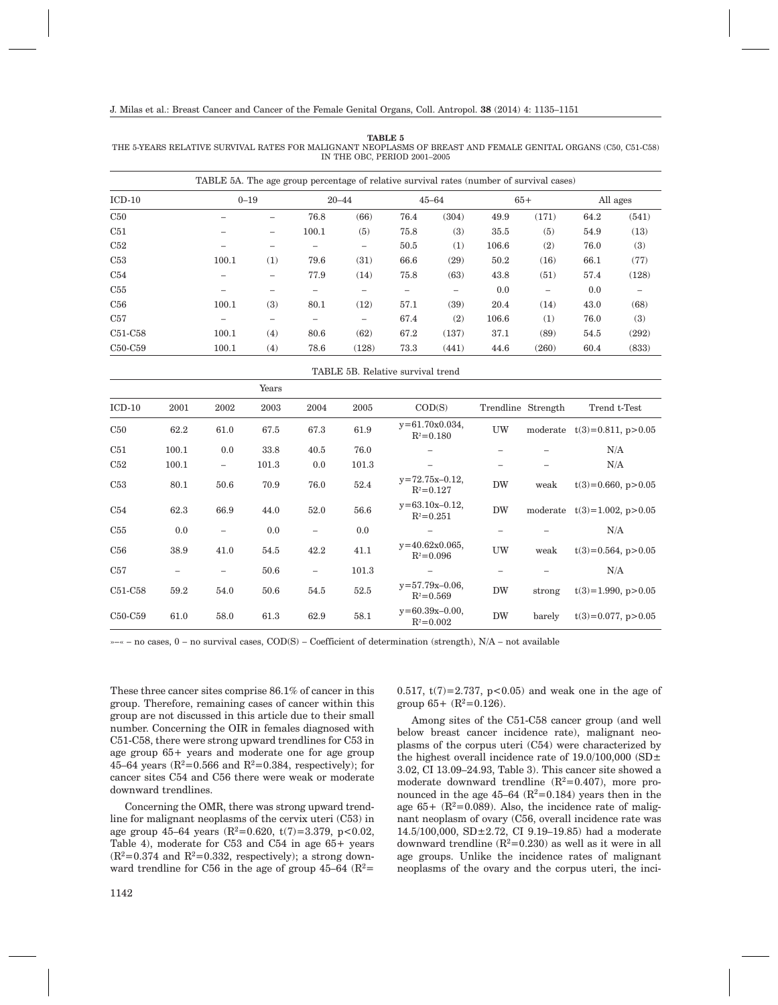| THE 5-YEARS RELATIVE SURVIVAL RATES FOR MALIGNANT NEOPLASMS OF BREAST AND FEMALE GENITAL ORGANS (C50, C51-C58) |  |
|----------------------------------------------------------------------------------------------------------------|--|
| IN THE OBC. PERIOD 2001-2005                                                                                   |  |

|                                  | TABLE 5A. The age group percentage of relative survival rates (number of survival cases) |     |       |           |      |           |       |       |      |          |
|----------------------------------|------------------------------------------------------------------------------------------|-----|-------|-----------|------|-----------|-------|-------|------|----------|
| $ICD-10$                         | $0 - 19$                                                                                 |     |       | $20 - 44$ |      | $45 - 64$ |       | $65+$ |      | All ages |
| C50                              |                                                                                          |     | 76.8  | (66)      | 76.4 | (304)     | 49.9  | (171) | 64.2 | (541)    |
| C51                              |                                                                                          | -   | 100.1 | (5)       | 75.8 | (3)       | 35.5  | (5)   | 54.9 | (13)     |
| C52                              |                                                                                          |     |       | -         | 50.5 | (1)       | 106.6 | (2)   | 76.0 | (3)      |
| C53                              | 100.1                                                                                    | (1) | 79.6  | (31)      | 66.6 | (29)      | 50.2  | (16)  | 66.1 | (77)     |
| C54                              |                                                                                          | -   | 77.9  | (14)      | 75.8 | (63)      | 43.8  | (51)  | 57.4 | (128)    |
| C55                              |                                                                                          |     |       |           |      |           | 0.0   | -     | 0.0  |          |
| C56                              | 100.1                                                                                    | (3) | 80.1  | (12)      | 57.1 | (39)      | 20.4  | (14)  | 43.0 | (68)     |
| C57                              |                                                                                          |     |       | -         | 67.4 | (2)       | 106.6 | (1)   | 76.0 | (3)      |
| C51-C58                          | 100.1                                                                                    | (4) | 80.6  | (62)      | 67.2 | (137)     | 37.1  | (89)  | 54.5 | (292)    |
| C <sub>50</sub> -C <sub>59</sub> | 100.1                                                                                    | (4) | 78.6  | (128)     | 73.3 | (441)     | 44.6  | (260) | 60.4 | (833)    |

TABLE 5B. Relative survival trend

|                                  |       |      | Years |                          |       |                                        |                    |          |                         |
|----------------------------------|-------|------|-------|--------------------------|-------|----------------------------------------|--------------------|----------|-------------------------|
| $ICD-10$                         | 2001  | 2002 | 2003  | 2004                     | 2005  | COD(S)                                 | Trendline Strength |          | Trend t-Test            |
| C50                              | 62.2  | 61.0 | 67.5  | 67.3                     | 61.9  | $y = 61.70x0.034$ ,<br>$R^2 = 0.180$   | UW                 | moderate | $t(3)=0.811, p>0.05$    |
| C51                              | 100.1 | 0.0  | 33.8  | 40.5                     | 76.0  | $\overline{\phantom{0}}$               | -                  |          | N/A                     |
| C52                              | 100.1 | -    | 101.3 | 0.0                      | 101.3 | -                                      | $\qquad \qquad -$  |          | N/A                     |
| C53                              | 80.1  | 50.6 | 70.9  | 76.0                     | 52.4  | $y=72.75x-0.12$ ,<br>$R^2 = 0.127$     | <b>DW</b>          | weak     | $t(3)=0.660, p>0.05$    |
| C54                              | 62.3  | 66.9 | 44.0  | 52.0                     | 56.6  | $y=63.10x-0.12$ ,<br>$R^2 = 0.251$     | <b>DW</b>          | moderate | $t(3)=1.002$ , p > 0.05 |
| C55                              | 0.0   | L,   | 0.0   | $\overline{\phantom{0}}$ | 0.0   |                                        |                    |          | N/A                     |
| C56                              | 38.9  | 41.0 | 54.5  | 42.2                     | 41.1  | $y=40.62x0.065$ ,<br>$R^2 = 0.096$     | UW                 | weak     | $t(3)=0.564$ , p > 0.05 |
| C57                              |       | -    | 50.6  | $\overline{\phantom{0}}$ | 101.3 |                                        |                    |          | N/A                     |
| C51-C58                          | 59.2  | 54.0 | 50.6  | 54.5                     | 52.5  | $y = 57.79x - 0.06$ ,<br>$R^2 = 0.569$ | <b>DW</b>          | strong   | $t(3)=1.990, p>0.05$    |
| C <sub>50</sub> -C <sub>59</sub> | 61.0  | 58.0 | 61.3  | 62.9                     | 58.1  | $y=60.39x-0.00$ ,<br>$R^2 = 0.002$     | <b>DW</b>          | barely   | $t(3)=0.077, p>0.05$    |

»–« – no cases, 0 – no survival cases, COD(S) – Coefficient of determination (strength), N/A – not available

These three cancer sites comprise 86.1% of cancer in this group. Therefore, remaining cases of cancer within this group are not discussed in this article due to their small number. Concerning the OIR in females diagnosed with C51-C58, there were strong upward trendlines for C53 in age group 65+ years and moderate one for age group 45–64 years  $(R^2=0.566$  and  $R^2=0.384$ , respectively); for cancer sites C54 and C56 there were weak or moderate downward trendlines.

Concerning the OMR, there was strong upward trendline for malignant neoplasms of the cervix uteri (C53) in age group 45–64 years  $(R^2=0.620, t(7)=3.379, p<0.02,$ Table 4), moderate for C53 and C54 in age 65+ years  $(R^2=0.374$  and  $R^2=0.332$ , respectively); a strong downward trendline for C56 in the age of group  $45-64$  ( $R^2=$ 

0.517,  $t(7)=2.737$ ,  $p<0.05$ ) and weak one in the age of group  $65 + (R^2=0.126)$ .

Among sites of the C51-C58 cancer group (and well below breast cancer incidence rate), malignant neoplasms of the corpus uteri (C54) were characterized by the highest overall incidence rate of  $19.0/100,000$  (SD $\pm$ 3.02, CI 13.09–24.93, Table 3). This cancer site showed a moderate downward trendline  $(R^2=0.407)$ , more pronounced in the age  $45-64$  ( $R^2=0.184$ ) years then in the age 65+  $(R^2=0.089)$ . Also, the incidence rate of malignant neoplasm of ovary (C56, overall incidence rate was 14.5/100,000, SD±2.72, CI 9.19–19.85) had a moderate downward trendline  $(R^2=0.230)$  as well as it were in all age groups. Unlike the incidence rates of malignant neoplasms of the ovary and the corpus uteri, the inci-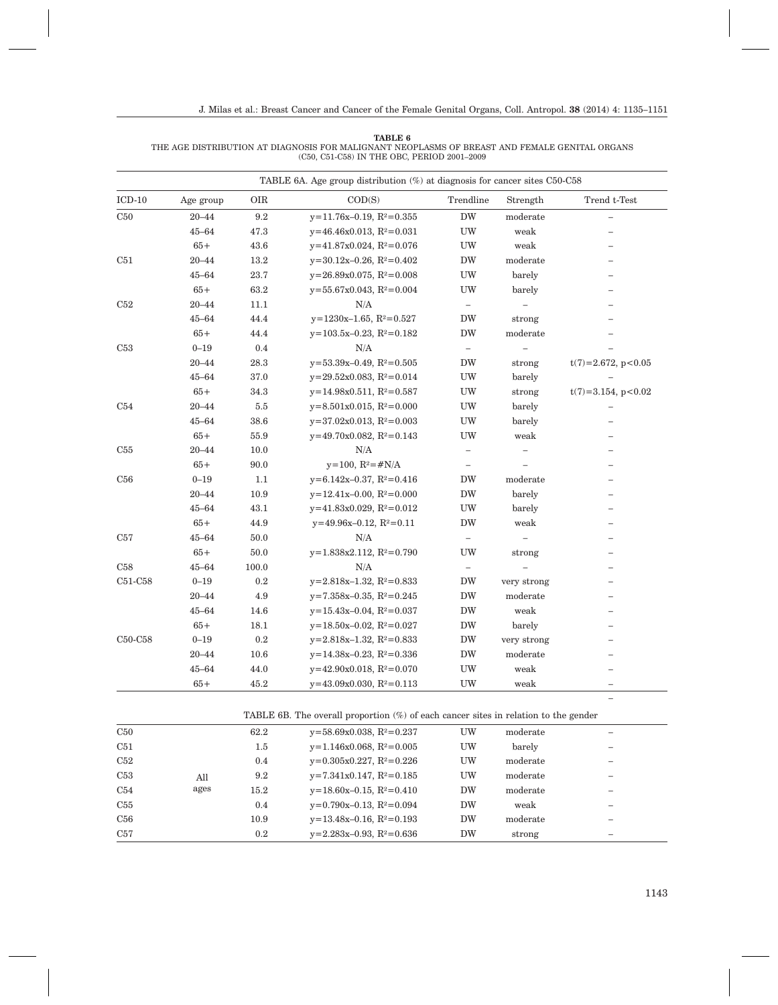**TABLE 6** THE AGE DISTRIBUTION AT DIAGNOSIS FOR MALIGNANT NEOPLASMS OF BREAST AND FEMALE GENITAL ORGANS (C50, C51-C58) IN THE OBC, PERIOD 2001–2009

|          |           |            | TABLE 6A. Age group distribution (%) at diagnosis for cancer sites C50-C58          |                          |                           |                          |
|----------|-----------|------------|-------------------------------------------------------------------------------------|--------------------------|---------------------------|--------------------------|
| $ICD-10$ | Age group | <b>OIR</b> | COD(S)                                                                              | Trendline                | Strength                  | Trend t-Test             |
| C50      | $20 - 44$ | 9.2        | $y=11.76x-0.19$ , $R^2=0.355$                                                       | ${\rm DW}$               | moderate                  |                          |
|          | $45 - 64$ | 47.3       | $y=46.46x0.013$ , $R^2=0.031$                                                       | UW                       | weak                      |                          |
|          | $65+$     | 43.6       | $y=41.87x0.024$ , $R^2=0.076$                                                       | UW                       | weak                      |                          |
| C51      | $20 - 44$ | 13.2       | $y=30.12x-0.26$ , $R^2=0.402$                                                       | <b>DW</b>                | moderate                  |                          |
|          | $45 - 64$ | 23.7       | $y=26.89x0.075$ , $R^2=0.008$                                                       | ${\rm UW}$               | barely                    |                          |
|          | $65+$     | 63.2       | $y=55.67x0.043, R^2=0.004$                                                          | UW                       | barely                    |                          |
| C52      | $20 - 44$ | 11.1       | N/A                                                                                 |                          |                           |                          |
|          | $45 - 64$ | 44.4       | $y=1230x-1.65$ , $R^2=0.527$                                                        | <b>DW</b>                | strong                    |                          |
|          | $65+$     | 44.4       | $y=103.5x-0.23$ , $R^2=0.182$                                                       | <b>DW</b>                | moderate                  |                          |
| C53      | $0 - 19$  | 0.4        | N/A                                                                                 | $\overline{\phantom{0}}$ |                           |                          |
|          | $20 - 44$ | $28.3\,$   | $y=53.39x-0.49$ , $R^2=0.505$                                                       | <b>DW</b>                | strong                    | $t(7)=2.672, p<0.05$     |
|          | $45 - 64$ | 37.0       | $y=29.52x0.083, R^2=0.014$                                                          | UW                       | barely                    |                          |
|          | $65+$     | 34.3       | $y=14.98x0.511, R^2=0.587$                                                          | UW                       | strong                    | $t(7)=3.154, p<0.02$     |
| C54      | $20 - 44$ | $5.5\,$    | $y=8.501x0.015$ , $R^2=0.000$                                                       | UW                       | barely                    |                          |
|          | $45 - 64$ | 38.6       | $y=37.02x0.013$ , $R^2=0.003$                                                       | ${\rm UW}$               | barely                    |                          |
|          | $65+$     | 55.9       | $y=49.70x0.082$ , $R^2=0.143$                                                       | UW                       | weak                      |                          |
| C55      | $20 - 44$ | 10.0       | N/A                                                                                 | $\overline{\phantom{0}}$ |                           |                          |
|          | $65+$     | 90.0       | $y=100$ , $R^2 = #N/A$                                                              |                          |                           |                          |
| C56      | $0 - 19$  | 1.1        | $y=6.142x-0.37$ , $R^2=0.416$                                                       | <b>DW</b>                | moderate                  |                          |
|          | $20 - 44$ | 10.9       | $y=12.41x-0.00$ , $R^2=0.000$                                                       | <b>DW</b>                | barely                    |                          |
|          | $45 - 64$ | 43.1       | $y=41.83x0.029$ , $R^2=0.012$                                                       | UW                       | barely                    |                          |
|          | $65+$     | 44.9       | $y=49.96x-0.12$ , $R^2=0.11$                                                        | <b>DW</b>                | weak                      |                          |
| C57      | $45 - 64$ | 50.0       | N/A                                                                                 | $\qquad \qquad -$        |                           |                          |
|          | $65+$     | 50.0       | $y=1.838x2.112, R^2=0.790$                                                          | UW                       | strong                    |                          |
| C58      | $45 - 64$ | 100.0      | N/A                                                                                 | $\overline{\phantom{0}}$ |                           |                          |
| C51-C58  | $0 - 19$  | 0.2        | $y=2.818x-1.32$ , $R^2=0.833$                                                       | DW                       | very strong               | $\overline{\phantom{0}}$ |
|          | $20 - 44$ | 4.9        | $y=7.358x-0.35$ , $R^2=0.245$                                                       | <b>DW</b>                | moderate                  |                          |
|          | $45 - 64$ | 14.6       | $y=15.43x-0.04$ , $R^2=0.037$                                                       | <b>DW</b>                | weak                      |                          |
|          | $65+$     | 18.1       | $y=18.50x-0.02$ , $R^2=0.027$                                                       | ${\rm DW}$               | barely                    |                          |
| C50-C58  | $0 - 19$  | 0.2        | $y=2.818x-1.32$ , $R^2=0.833$                                                       | ${\rm DW}$               | very strong               |                          |
|          | $20 - 44$ | 10.6       | $y=14.38x-0.23$ , $R^2=0.336$                                                       | <b>DW</b>                | moderate                  |                          |
|          | $45 - 64$ | 44.0       | $y=42.90x0.018$ , $R^2=0.070$                                                       | UW                       | weak                      |                          |
|          | $65+$     | 45.2       | $y=43.09x0.030, R^2=0.113$                                                          | <b>UW</b>                | weak                      |                          |
|          |           |            |                                                                                     |                          |                           |                          |
|          |           |            | TABLE 6B. The overall proportion (%) of each cancer sites in relation to the gender |                          |                           |                          |
| C50      |           | 62.2       | $y=58.69x0.038$ , $R^2=0.237$                                                       | <b>UW</b>                | moderate                  |                          |
| C51      |           | $1.5\,$    | $y=1.146x0.068$ , $R^2=0.005$                                                       | ${\rm UW}$               | barely                    |                          |
| C52      |           | 0.4        | $y=0.305x0.227, R^2=0.226$                                                          | UW                       | $\operatorname{moderate}$ |                          |
| C53      | All       | 9.2        | $y=7.341x0.147$ , $R^2=0.185$                                                       | UW                       | moderate                  |                          |
| C54      | ages      | 15.2       | $y=18.60x-0.15$ , $R^2=0.410$                                                       | <b>DW</b>                | moderate                  |                          |
| C55      |           | $0.4\,$    | $y=0.790x-0.13$ , $R^2=0.094$                                                       | ${\rm DW}$               | weak                      |                          |

C56 10.9  $y=13.48x-0.16$ ,  $R^2=0.193$  DW moderate – C57 0.2  $y=2.283x-0.93, R^2=0.636$  DW strong –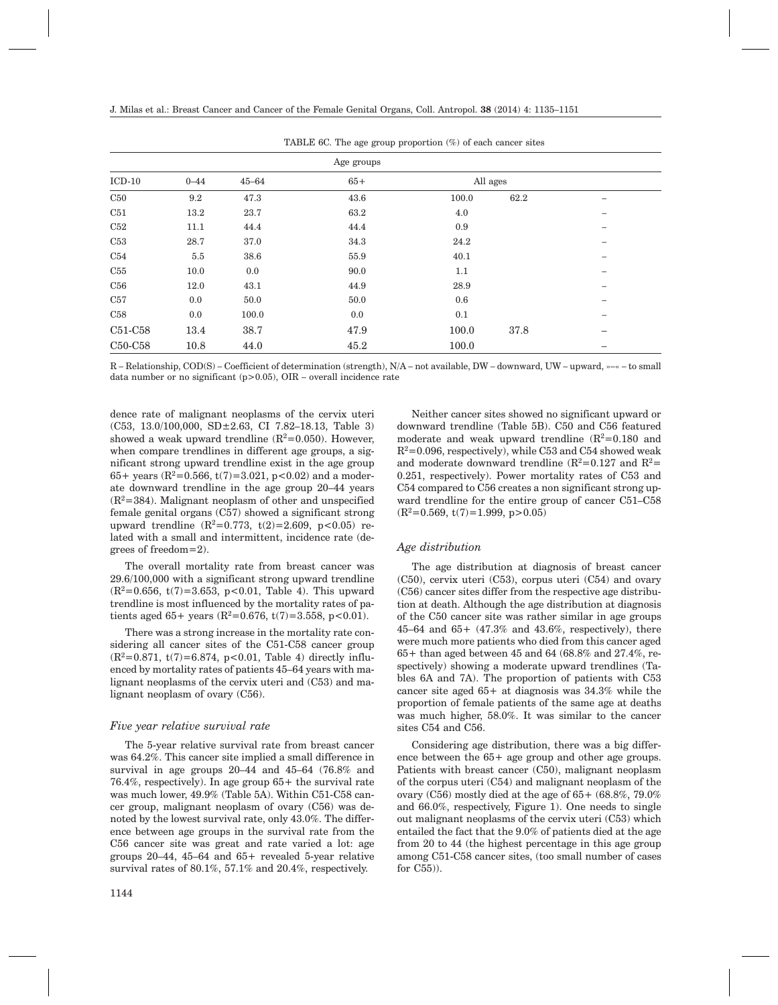|                                  |          |           | Age groups |          |      |                          |  |
|----------------------------------|----------|-----------|------------|----------|------|--------------------------|--|
| $ICD-10$                         | $0 - 44$ | $45 - 64$ | $65+$      | All ages |      |                          |  |
| C50                              | 9.2      | 47.3      | 43.6       | 100.0    | 62.2 | $\overline{\phantom{0}}$ |  |
| C51                              | 13.2     | 23.7      | 63.2       | 4.0      |      |                          |  |
| C52                              | 11.1     | 44.4      | 44.4       | 0.9      |      | -                        |  |
| C53                              | 28.7     | 37.0      | 34.3       | 24.2     |      | -                        |  |
| C54                              | 5.5      | 38.6      | 55.9       | 40.1     |      |                          |  |
| C55                              | 10.0     | 0.0       | 90.0       | 1.1      |      | -                        |  |
| C56                              | 12.0     | 43.1      | 44.9       | 28.9     |      | -                        |  |
| C57                              | 0.0      | 50.0      | 50.0       | 0.6      |      |                          |  |
| C58                              | 0.0      | 100.0     | 0.0        | 0.1      |      |                          |  |
| C51-C58                          | 13.4     | 38.7      | 47.9       | 100.0    | 37.8 |                          |  |
| C <sub>50</sub> -C <sub>58</sub> | 10.8     | 44.0      | 45.2       | 100.0    |      |                          |  |

TABLE 6C. The age group proportion (%) of each cancer sites

R – Relationship, COD(S) – Coefficient of determination (strength), N/A – not available, DW – downward, UW – upward, »–« – to small data number or no significant (p>0.05), OIR – overall incidence rate

dence rate of malignant neoplasms of the cervix uteri (C53, 13.0/100,000, SD±2.63, CI 7.82–18.13, Table 3) showed a weak upward trendline  $(R^2=0.050)$ . However, when compare trendlines in different age groups, a significant strong upward trendline exist in the age group 65+ years ( $R^2$ =0.566, t(7)=3.021, p<0.02) and a moderate downward trendline in the age group 20–44 years  $(R^2=384)$ . Malignant neoplasm of other and unspecified female genital organs (C57) showed a significant strong upward trendline  $(R^2=0.773, t(2)=2.609, p<0.05)$  related with a small and intermittent, incidence rate (degrees of freedom=2).

The overall mortality rate from breast cancer was 29.6/100,000 with a significant strong upward trendline  $(R^2=0.656, t(7)=3.653, p<0.01,$  Table 4). This upward trendline is most influenced by the mortality rates of patients aged  $65+$  years  $(R^2=0.676, t(7)=3.558, p<0.01)$ .

There was a strong increase in the mortality rate considering all cancer sites of the C51-C58 cancer group  $(R^2=0.871, t(7)=6.874, p<0.01,$  Table 4) directly influenced by mortality rates of patients 45–64 years with malignant neoplasms of the cervix uteri and (C53) and malignant neoplasm of ovary (C56).

#### *Five year relative survival rate*

The 5-year relative survival rate from breast cancer was 64.2%. This cancer site implied a small difference in survival in age groups 20–44 and 45–64 (76.8% and 76.4%, respectively). In age group 65+ the survival rate was much lower, 49.9% (Table 5A). Within C51-C58 cancer group, malignant neoplasm of ovary (C56) was denoted by the lowest survival rate, only 43.0%. The difference between age groups in the survival rate from the C56 cancer site was great and rate varied a lot: age groups 20–44, 45–64 and 65+ revealed 5-year relative survival rates of 80.1%, 57.1% and 20.4%, respectively.

Neither cancer sites showed no significant upward or downward trendline (Table 5B). C50 and C56 featured moderate and weak upward trendline  $(R^2=0.180$  and  $R^2=0.096$ , respectively), while C53 and C54 showed weak and moderate downward trendline  $(R^2=0.127$  and  $R^2=$ 0.251, respectively). Power mortality rates of C53 and C54 compared to C56 creates a non significant strong upward trendline for the entire group of cancer C51–C58  $(R^2=0.569, t(7)=1.999, p>0.05)$ 

#### *Age distribution*

The age distribution at diagnosis of breast cancer (C50), cervix uteri (C53), corpus uteri (C54) and ovary (C56) cancer sites differ from the respective age distribution at death. Although the age distribution at diagnosis of the C50 cancer site was rather similar in age groups 45–64 and 65+ (47.3% and 43.6%, respectively), there were much more patients who died from this cancer aged 65+ than aged between 45 and 64 (68.8% and 27.4%, respectively) showing a moderate upward trendlines (Tables 6A and 7A). The proportion of patients with C53 cancer site aged 65+ at diagnosis was 34.3% while the proportion of female patients of the same age at deaths was much higher, 58.0%. It was similar to the cancer sites C54 and C56.

Considering age distribution, there was a big difference between the 65+ age group and other age groups. Patients with breast cancer (C50), malignant neoplasm of the corpus uteri (C54) and malignant neoplasm of the ovary (C56) mostly died at the age of  $65+ (68.8\%, 79.0\%)$ and 66.0%, respectively, Figure 1). One needs to single out malignant neoplasms of the cervix uteri (C53) which entailed the fact that the 9.0% of patients died at the age from 20 to 44 (the highest percentage in this age group among C51-C58 cancer sites, (too small number of cases for C55)).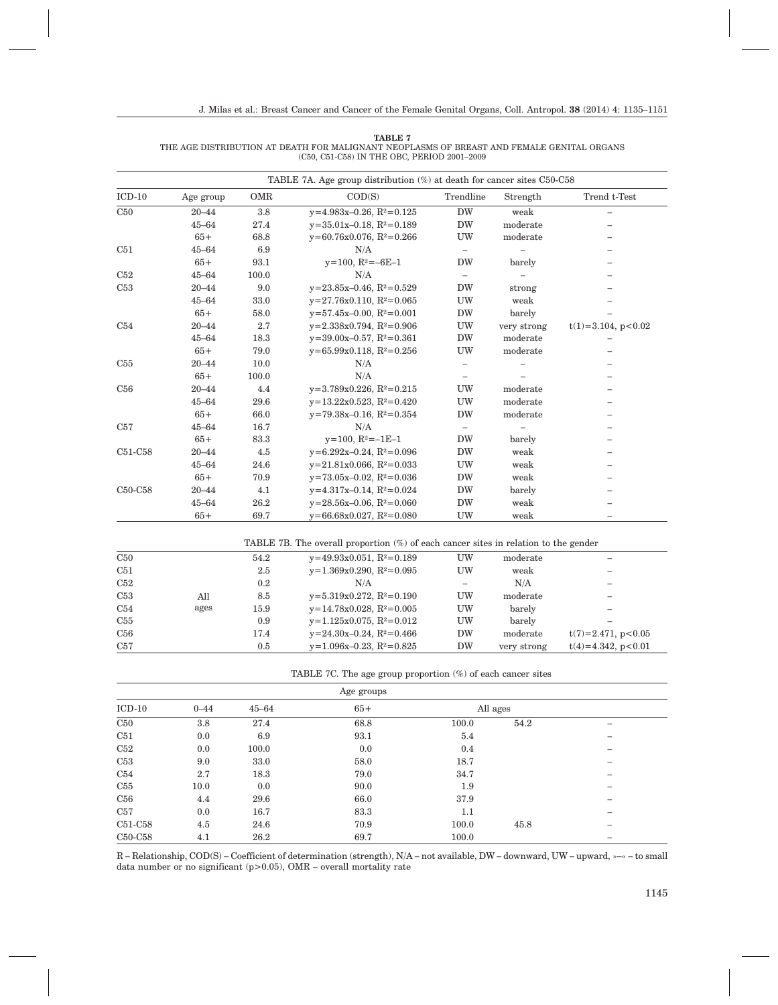| <b>TABLE 7</b>                                                                            |
|-------------------------------------------------------------------------------------------|
| THE AGE DISTRIBUTION AT DEATH FOR MALIGNANT NEOPLASMS OF BREAST AND FEMALE GENITAL ORGANS |
| (C50, C51-C58) IN THE OBC, PERIOD 2001-2009                                               |

| $ICD-10$ | Age group | <b>OMR</b> | COD(S)                              | Trendline                | Strength    | Trend t-Test             |
|----------|-----------|------------|-------------------------------------|--------------------------|-------------|--------------------------|
| C50      | $20 - 44$ | 3.8        | $y=4.983x-0.26$ , $R^2=0.125$       | <b>DW</b>                | weak        | $\overline{\phantom{0}}$ |
|          | $45 - 64$ | 27.4       | $y=35.01x-0.18$ , $R^2=0.189$       | <b>DW</b>                | moderate    |                          |
|          | $65+$     | 68.8       | $y=60.76x0.076$ , $R^2=0.266$       | <b>UW</b>                | moderate    |                          |
| C51      | $45 - 64$ | 6.9        | N/A                                 | $\overline{\phantom{0}}$ |             |                          |
|          | $65+$     | 93.1       | $y=100$ , $R^2=-6E-1$               | <b>DW</b>                | barely      |                          |
| C52      | $45 - 64$ | 100.0      | N/A                                 |                          |             |                          |
| C53      | $20 - 44$ | 9.0        | $y=23.85x-0.46$ , $R^2=0.529$       | <b>DW</b>                | strong      |                          |
|          | $45 - 64$ | 33.0       | $y=27.76x0.110$ , $R^2=0.065$       | <b>UW</b>                | weak        |                          |
|          | $65+$     | 58.0       | $y=57.45x-0.00$ , $R^2=0.001$       | <b>DW</b>                | barely      |                          |
| C54      | $20 - 44$ | 2.7        | $y=2.338x0.794$ , $R^2=0.906$       | <b>UW</b>                | very strong | $t(1)=3.104$ , p<0.02    |
|          | $45 - 64$ | 18.3       | $v = 39.00x - 0.57$ , $R^2 = 0.361$ | <b>DW</b>                | moderate    |                          |
|          | $65+$     | 79.0       | $y=65.99x0.118$ , $R^2=0.256$       | <b>UW</b>                | moderate    |                          |
| C55      | $20 - 44$ | 10.0       | N/A                                 |                          |             |                          |
|          | $65+$     | 100.0      | N/A                                 |                          |             |                          |
| C56      | $20 - 44$ | 4.4        | $y=3.789x0.226$ , $R^2=0.215$       | <b>UW</b>                | moderate    |                          |
|          | $45 - 64$ | 29.6       | $y=13.22x0.523, R^2=0.420$          | <b>UW</b>                | moderate    |                          |
|          | $65+$     | 66.0       | $y=79.38x-0.16$ , $R^2=0.354$       | <b>DW</b>                | moderate    |                          |
| C57      | $45 - 64$ | 16.7       | N/A                                 |                          |             |                          |
|          | $65+$     | 83.3       | $y=100$ , $R^2=-1E-1$               | <b>DW</b>                | barely      |                          |
| C51-C58  | $20 - 44$ | 4.5        | $y=6.292x-0.24$ , $R^2=0.096$       | <b>DW</b>                | weak        |                          |
|          | $45 - 64$ | 24.6       | $y=21.81x0.066$ , $R^2=0.033$       | <b>UW</b>                | weak        |                          |
|          | $65+$     | 70.9       | $y=73.05x-0.02$ , $R^2=0.036$       | <b>DW</b>                | weak        |                          |
| C50-C58  | $20 - 44$ | 4.1        | $y=4.317x-0.14$ , $R^2=0.024$       | <b>DW</b>                | barely      |                          |
|          | $45 - 64$ | 26.2       | $y=28.56x-0.06$ , $R^2=0.060$       | <b>DW</b>                | weak        |                          |
|          | $65+$     | 69.7       | $y=66.68x0.027$ , $R^2=0.080$       | <b>UW</b>                | weak        | $\overline{\phantom{0}}$ |

| C50 |      | 54.2    | $y=49.93x0.051, R^2=0.189$    | UW | moderate    |                      |  |
|-----|------|---------|-------------------------------|----|-------------|----------------------|--|
| C51 |      | 2.5     | $y=1.369x0.290, R^2=0.095$    | UW | weak        |                      |  |
| C52 |      | 0.2     | N/A                           |    | N/A         |                      |  |
| C53 | All  | 8.5     | $y=5.319x0.272$ , $R^2=0.190$ | UW | moderate    |                      |  |
| C54 | ages | 15.9    | $y=14.78x0.028$ , $R^2=0.005$ | UW | barely      |                      |  |
| C55 |      | 0.9     | $y=1.125x0.075$ , $R^2=0.012$ | UW | barely      |                      |  |
| C56 |      | 17.4    | $y=24.30x-0.24$ , $R^2=0.466$ | DW | moderate    | $t(7)=2.471, p<0.05$ |  |
| C57 |      | $0.5\,$ | $y=1.096x-0.23$ , $R^2=0.825$ | DW | very strong | $t(4)=4.342, p<0.01$ |  |

TABLE 7C. The age group proportion (%) of each cancer sites

| Age groups |          |           |       |       |          |  |  |
|------------|----------|-----------|-------|-------|----------|--|--|
| $ICD-10$   | $0 - 44$ | $45 - 64$ | $65+$ |       | All ages |  |  |
| C50        | 3.8      | 27.4      | 68.8  | 100.0 | 54.2     |  |  |
| C51        | 0.0      | 6.9       | 93.1  | 5.4   |          |  |  |
| C52        | 0.0      | 100.0     | 0.0   | 0.4   |          |  |  |
| C53        | 9.0      | 33.0      | 58.0  | 18.7  |          |  |  |
| C54        | 2.7      | 18.3      | 79.0  | 34.7  |          |  |  |
| C55        | 10.0     | 0.0       | 90.0  | 1.9   |          |  |  |
| C56        | 4.4      | 29.6      | 66.0  | 37.9  |          |  |  |
| C57        | 0.0      | 16.7      | 83.3  | 1.1   |          |  |  |
| C51-C58    | 4.5      | 24.6      | 70.9  | 100.0 | 45.8     |  |  |
| C50-C58    | 4.1      | 26.2      | 69.7  | 100.0 |          |  |  |

R – Relationship, COD(S) – Coefficient of determination (strength), N/A – not available, DW – downward, UW – upward, »–« – to small data number or no significant  $(p>0.05)$ , OMR – overall mortality rate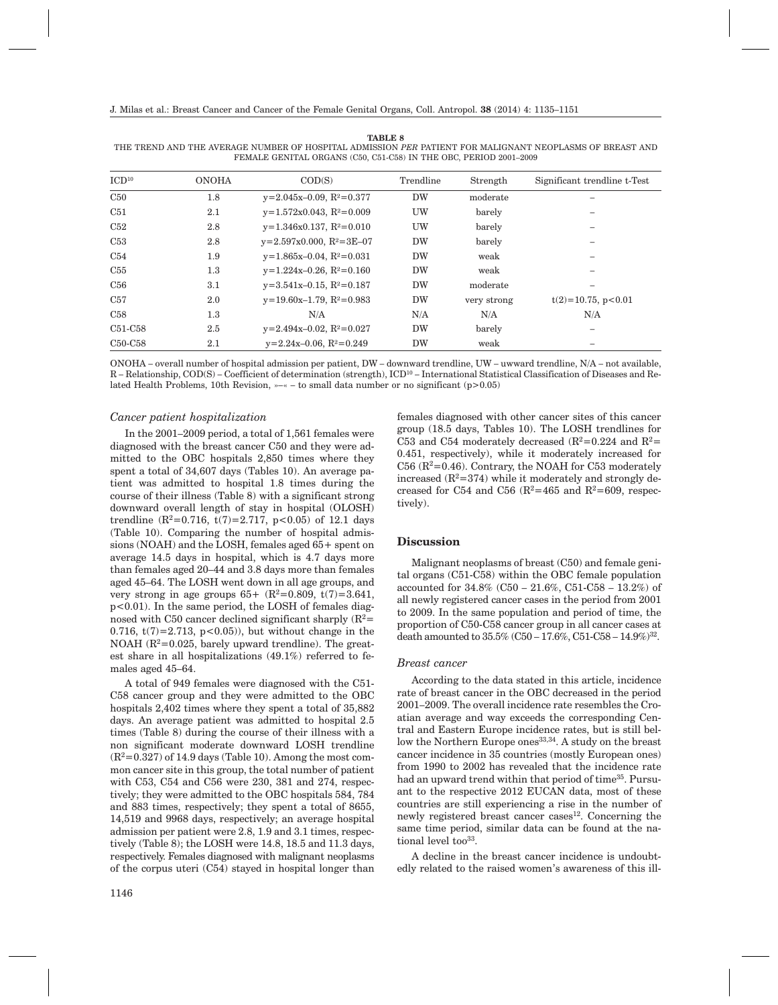|                                  |              | <u>I LIMINI QERITINI QIMININ (COO, COI-COO) IN THE ODO, I LIMOD 2001–2009</u> |           |             |                              |
|----------------------------------|--------------|-------------------------------------------------------------------------------|-----------|-------------|------------------------------|
| $\mathrm{ICD}^{10}$              | <b>ONOHA</b> | $\mathrm{COD}(S)$                                                             | Trendline | Strength    | Significant trendline t-Test |
| C50                              | 1.8          | $y=2.045x-0.09$ , $R^2=0.377$                                                 | DW        | moderate    |                              |
| C51                              | 2.1          | $y=1.572x0.043$ , $R^2=0.009$                                                 | UW        | barely      |                              |
| C52                              | 2.8          | $y=1.346x0.137$ , $R^2=0.010$                                                 | UW        | barely      |                              |
| C53                              | 2.8          | $y=2.597x0.000, R^2=3E-07$                                                    | <b>DW</b> | barely      |                              |
| C54                              | 1.9          | $y=1.865x-0.04$ , $R^2=0.031$                                                 | DW        | weak        |                              |
| C55                              | 1.3          | $y=1.224x-0.26$ , $R^2=0.160$                                                 | DW        | weak        |                              |
| C56                              | 3.1          | $y=3.541x-0.15$ , $R^2=0.187$                                                 | <b>DW</b> | moderate    |                              |
| C57                              | 2.0          | $y=19.60x-1.79$ , $R^2=0.983$                                                 | DW        | very strong | $t(2)=10.75, p<0.01$         |
| C58                              | $1.3\,$      | N/A                                                                           | N/A       | N/A         | N/A                          |
| C <sub>51</sub> -C <sub>58</sub> | 2.5          | $y=2.494x-0.02$ , $R^2=0.027$                                                 | <b>DW</b> | barely      |                              |
| C <sub>50</sub> -C <sub>58</sub> | 2.1          | $v=2.24x-0.06$ , $R^2=0.249$                                                  | DW        | weak        |                              |

**TABLE 8** THE TREND AND THE AVERAGE NUMBER OF HOSPITAL ADMISSION *PER* PATIENT FOR MALIGNANT NEOPLASMS OF BREAST AND FEMALE GENITAL ORGANS (C50, C51-C58) IN THE ORG PERIOD 2001–2000

ONOHA – overall number of hospital admission per patient, DW – downward trendline, UW – uwward trendline, N/A – not available, R – Relationship, COD(S) – Coefficient of determination (strength), ICD10 – International Statistical Classification of Diseases and Related Health Problems, 10th Revision,  $\nu-\alpha$  – to small data number or no significant (p>0.05)

#### *Cancer patient hospitalization*

In the 2001–2009 period, a total of 1,561 females were diagnosed with the breast cancer C50 and they were admitted to the OBC hospitals 2,850 times where they spent a total of 34,607 days (Tables 10). An average patient was admitted to hospital 1.8 times during the course of their illness (Table 8) with a significant strong downward overall length of stay in hospital (OLOSH) trendline  $(R^2=0.716, t(7)=2.717, p<0.05)$  of 12.1 days (Table 10). Comparing the number of hospital admissions (NOAH) and the LOSH, females aged 65+ spent on average 14.5 days in hospital, which is 4.7 days more than females aged 20–44 and 3.8 days more than females aged 45–64. The LOSH went down in all age groups, and very strong in age groups  $65 + (R^2=0.809, t(7)=3.641,$ p<0.01). In the same period, the LOSH of females diagnosed with C50 cancer declined significant sharply  $(R^2=$ 0.716,  $t(7)=2.713$ ,  $p<0.05$ )), but without change in the NOAH  $(R^2=0.025$ , barely upward trendline). The greatest share in all hospitalizations (49.1%) referred to females aged 45–64.

A total of 949 females were diagnosed with the C51- C58 cancer group and they were admitted to the OBC hospitals 2,402 times where they spent a total of 35,882 days. An average patient was admitted to hospital 2.5 times (Table 8) during the course of their illness with a non significant moderate downward LOSH trendline  $(R^2=0.327)$  of 14.9 days (Table 10). Among the most common cancer site in this group, the total number of patient with C53, C54 and C56 were 230, 381 and 274, respectively; they were admitted to the OBC hospitals 584, 784 and 883 times, respectively; they spent a total of 8655, 14,519 and 9968 days, respectively; an average hospital admission per patient were 2.8, 1.9 and 3.1 times, respectively (Table 8); the LOSH were 14.8, 18.5 and 11.3 days, respectively. Females diagnosed with malignant neoplasms of the corpus uteri (C54) stayed in hospital longer than

females diagnosed with other cancer sites of this cancer group (18.5 days, Tables 10). The LOSH trendlines for C53 and C54 moderately decreased  $(R^2=0.224$  and  $R^2=$ 0.451, respectively), while it moderately increased for C56 ( $\mathbb{R}^2$ =0.46). Contrary, the NOAH for C53 moderately increased  $(R^2=374)$  while it moderately and strongly decreased for C54 and C56 ( $\mathbb{R}^2$ =465 and  $\mathbb{R}^2$ =609, respectively).

## **Discussion**

Malignant neoplasms of breast (C50) and female genital organs (C51-C58) within the OBC female population accounted for 34.8% (C50 – 21.6%, C51-C58 – 13.2%) of all newly registered cancer cases in the period from 2001 to 2009. In the same population and period of time, the proportion of C50-C58 cancer group in all cancer cases at death amounted to  $35.5\%$  (C50 –  $17.6\%$ , C51-C58 –  $14.9\%$ )<sup>32</sup>.

#### *Breast cancer*

According to the data stated in this article, incidence rate of breast cancer in the OBC decreased in the period 2001–2009. The overall incidence rate resembles the Croatian average and way exceeds the corresponding Central and Eastern Europe incidence rates, but is still bellow the Northern Europe ones<sup>33,34</sup>. A study on the breast cancer incidence in 35 countries (mostly European ones) from 1990 to 2002 has revealed that the incidence rate had an upward trend within that period of time<sup>35</sup>. Pursuant to the respective 2012 EUCAN data, most of these countries are still experiencing a rise in the number of newly registered breast cancer cases<sup>12</sup>. Concerning the same time period, similar data can be found at the national level too<sup>33</sup>

A decline in the breast cancer incidence is undoubtedly related to the raised women's awareness of this ill-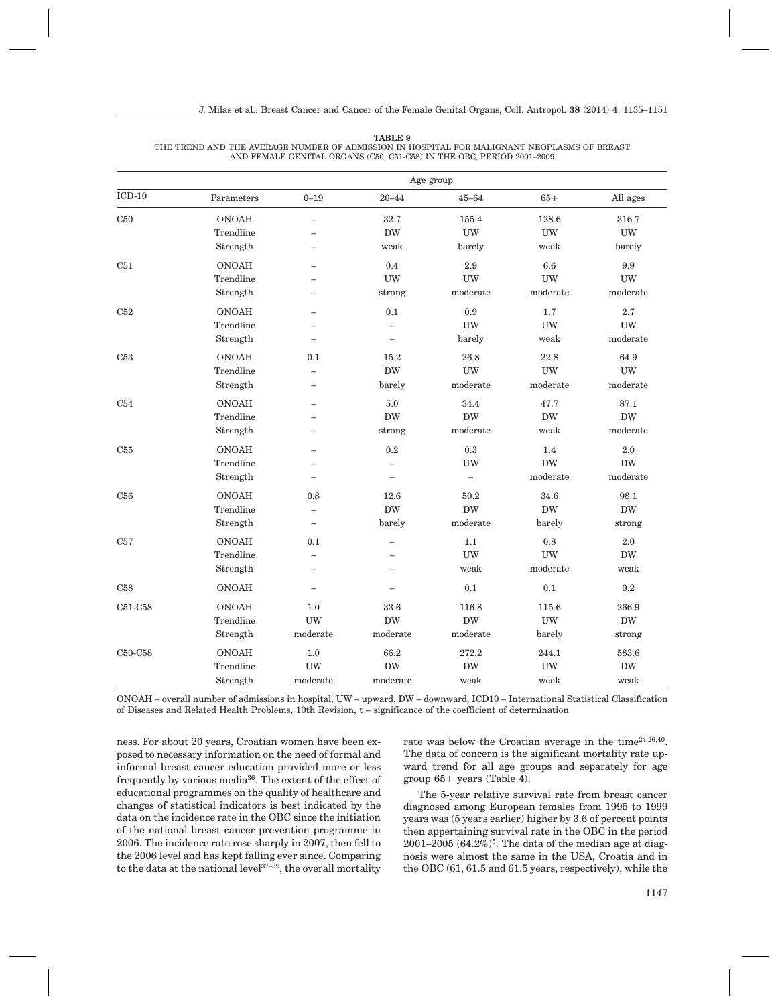**TABLE 9** THE TREND AND THE AVERAGE NUMBER OF ADMISSION IN HOSPITAL FOR MALIGNANT NEOPLASMS OF BREAST AND FEMALE GENITAL ORGANS (C50, C51-C58) IN THE OBC, PERIOD 2001–2009

|          |                                       | Age group                                            |                                |                                |                                         |                                  |  |  |
|----------|---------------------------------------|------------------------------------------------------|--------------------------------|--------------------------------|-----------------------------------------|----------------------------------|--|--|
| $ICD-10$ | Parameters                            | $0 - 19$                                             | $20 - 44$                      | $45 - 64$                      | $65+$                                   | All ages                         |  |  |
| C50      | <b>ONOAH</b><br>Trendline<br>Strength | $\equiv$<br>-                                        | 32.7<br>$\rm{DW}$<br>weak      | 155.4<br><b>UW</b><br>barely   | 128.6<br><b>UW</b><br>weak              | 316.7<br>${\rm UW}$<br>barely    |  |  |
| C51      | <b>ONOAH</b><br>Trendline<br>Strength | $\overline{ }$<br>L,                                 | 0.4<br><b>UW</b><br>strong     | 2.9<br><b>UW</b><br>moderate   | 6.6<br><b>UW</b><br>moderate            | 9.9<br><b>UW</b><br>moderate     |  |  |
| C52      | <b>ONOAH</b><br>Trendline<br>Strength | L,<br>$\equiv$                                       | 0.1<br>$\equiv$                | 0.9<br><b>UW</b><br>barely     | 1.7<br><b>UW</b><br>weak                | 2.7<br><b>UW</b><br>moderate     |  |  |
| C53      | <b>ONOAH</b><br>Trendline<br>Strength | 0.1<br>$\overline{\phantom{0}}$<br>-                 | 15.2<br><b>DW</b><br>barely    | 26.8<br><b>UW</b><br>moderate  | 22.8<br><b>UW</b><br>$\,$ moderate $\,$ | 64.9<br><b>UW</b><br>moderate    |  |  |
| C54      | <b>ONOAH</b><br>Trendline<br>Strength | $\overline{\phantom{0}}$<br>$\overline{\phantom{0}}$ | 5.0<br>$\rm{DW}$<br>strong     | 34.4<br><b>DW</b><br>moderate  | 47.7<br>$\rm{DW}$<br>weak               | 87.1<br>$\rm{DW}$<br>moderate    |  |  |
| C55      | <b>ONOAH</b><br>Trendline<br>Strength | $\equiv$<br>$\overline{\phantom{0}}$                 | 0.2<br>$\equiv$                | 0.3<br>UW<br>$\equiv$          | 1.4<br><b>DW</b><br>moderate            | $2.0\,$<br><b>DW</b><br>moderate |  |  |
| C56      | <b>ONOAH</b><br>Trendline<br>Strength | 0.8<br>$\overline{\phantom{0}}$<br>÷                 | 12.6<br>DW<br>barely           | 50.2<br>$\rm{DW}$<br>moderate  | 34.6<br>$\rm{DW}$<br>barely             | 98.1<br>$\rm{DW}$<br>strong      |  |  |
| C57      | <b>ONOAH</b><br>Trendline<br>Strength | 0.1<br>$\equiv$<br>$\overline{\phantom{0}}$          | $\overline{\phantom{0}}$<br>L, | $1.1\,$<br><b>UW</b><br>weak   | 0.8<br><b>UW</b><br>$\,$ moderate $\,$  | 2.0<br><b>DW</b><br>weak         |  |  |
| C58      | <b>ONOAH</b>                          | L,                                                   |                                | 0.1                            | 0.1                                     | 0.2                              |  |  |
| C51-C58  | <b>ONOAH</b><br>Trendline<br>Strength | 1.0<br><b>UW</b><br>moderate                         | 33.6<br><b>DW</b><br>moderate  | 116.8<br><b>DW</b><br>moderate | 115.6<br><b>UW</b><br>barely            | 266.9<br><b>DW</b><br>strong     |  |  |
| C50-C58  | <b>ONOAH</b><br>Trendline<br>Strength | 1.0<br>${\rm UW}$<br>moderate                        | 66.2<br><b>DW</b><br>moderate  | 272.2<br>${\rm DW}$<br>weak    | 244.1<br>${\rm UW}$<br>weak             | 583.6<br>${\rm DW}$<br>weak      |  |  |

ONOAH – overall number of admissions in hospital, UW – upward, DW – downward, ICD10 – International Statistical Classification of Diseases and Related Health Problems, 10th Revision, t – significance of the coefficient of determination

ness. For about 20 years, Croatian women have been exposed to necessary information on the need of formal and informal breast cancer education provided more or less frequently by various media36. The extent of the effect of educational programmes on the quality of healthcare and changes of statistical indicators is best indicated by the data on the incidence rate in the OBC since the initiation of the national breast cancer prevention programme in 2006. The incidence rate rose sharply in 2007, then fell to the 2006 level and has kept falling ever since. Comparing to the data at the national level<sup>37–39</sup>, the overall mortality rate was below the Croatian average in the time<sup>24,26,40</sup>. The data of concern is the significant mortality rate upward trend for all age groups and separately for age group 65+ years (Table 4).

The 5-year relative survival rate from breast cancer diagnosed among European females from 1995 to 1999 years was (5 years earlier) higher by 3.6 of percent points then appertaining survival rate in the OBC in the period 2001–2005 (64.2%)<sup>5</sup>. The data of the median age at diagnosis were almost the same in the USA, Croatia and in the OBC (61, 61.5 and 61.5 years, respectively), while the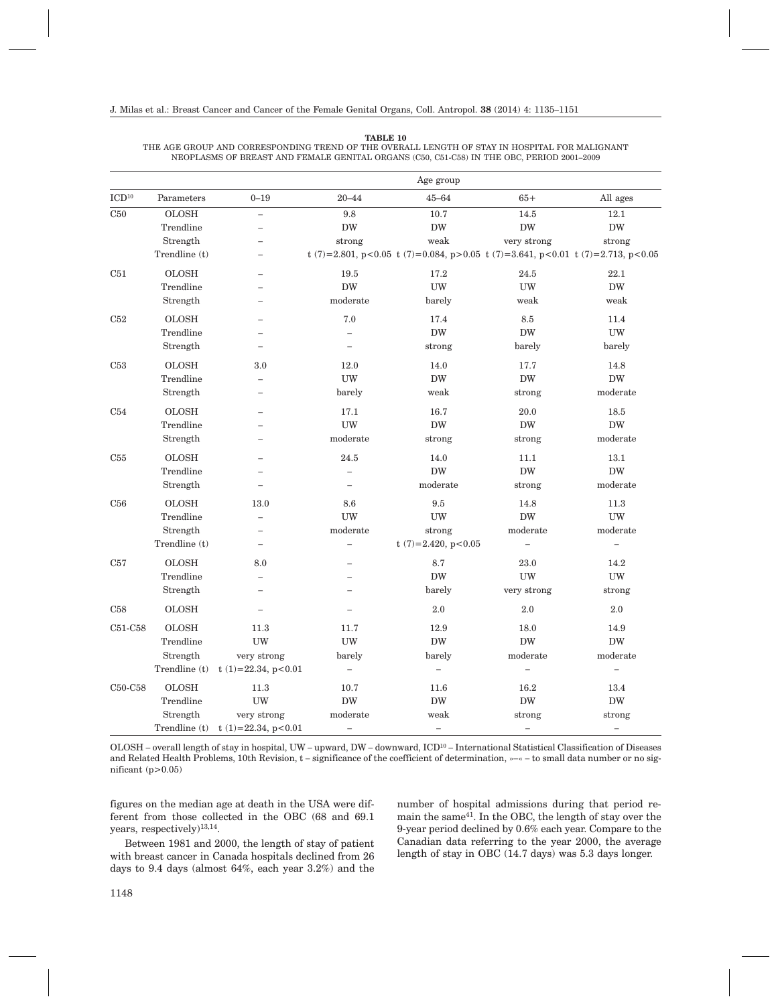|                                  | Age group     |                          |                          |                                                                                 |                          |                          |  |  |  |
|----------------------------------|---------------|--------------------------|--------------------------|---------------------------------------------------------------------------------|--------------------------|--------------------------|--|--|--|
| $\rm{ICD^{10}}$                  | Parameters    | $0 - 19$                 | $20 - 44$                | $45 - 64$                                                                       | $65+$                    | All ages                 |  |  |  |
| C50                              | <b>OLOSH</b>  | $\overline{\phantom{0}}$ | 9.8                      | 10.7                                                                            | 14.5                     | 12.1                     |  |  |  |
|                                  | Trendline     |                          | <b>DW</b>                | <b>DW</b>                                                                       | <b>DW</b>                | ${\rm DW}$               |  |  |  |
|                                  | Strength      |                          | strong                   | weak                                                                            | very strong              | strong                   |  |  |  |
|                                  | Trendline (t) |                          |                          | t (7)=2.801, p<0.05 t (7)=0.084, p>0.05 t (7)=3.641, p<0.01 t (7)=2.713, p<0.05 |                          |                          |  |  |  |
| C51                              | <b>OLOSH</b>  |                          | 19.5                     | 17.2                                                                            | 24.5                     | 22.1                     |  |  |  |
|                                  | Trendline     |                          | <b>DW</b>                | UW                                                                              | <b>UW</b>                | <b>DW</b>                |  |  |  |
|                                  | Strength      |                          | moderate                 | barely                                                                          | weak                     | weak                     |  |  |  |
| C52                              | <b>OLOSH</b>  |                          | 7.0                      | 17.4                                                                            | 8.5                      | 11.4                     |  |  |  |
|                                  | Trendline     |                          | $\overline{\phantom{0}}$ | <b>DW</b>                                                                       | <b>DW</b>                | <b>UW</b>                |  |  |  |
|                                  | Strength      |                          |                          | strong                                                                          | barely                   | barely                   |  |  |  |
| C53                              | <b>OLOSH</b>  | 3.0                      | 12.0                     | 14.0                                                                            | 17.7                     | 14.8                     |  |  |  |
|                                  | Trendline     |                          | <b>UW</b>                | <b>DW</b>                                                                       | <b>DW</b>                | <b>DW</b>                |  |  |  |
|                                  | Strength      |                          | barely                   | weak                                                                            | strong                   | moderate                 |  |  |  |
| C54                              | <b>OLOSH</b>  |                          | 17.1                     | 16.7                                                                            | 20.0                     | 18.5                     |  |  |  |
|                                  | Trendline     |                          | <b>UW</b>                | <b>DW</b>                                                                       | <b>DW</b>                | <b>DW</b>                |  |  |  |
|                                  | Strength      |                          | moderate                 | strong                                                                          | strong                   | moderate                 |  |  |  |
| C <sub>55</sub>                  | <b>OLOSH</b>  |                          | 24.5                     | 14.0                                                                            | 11.1                     | 13.1                     |  |  |  |
|                                  | Trendline     |                          | $\overline{\phantom{0}}$ | <b>DW</b>                                                                       | <b>DW</b>                | <b>DW</b>                |  |  |  |
|                                  | Strength      | Ē,                       | $\overline{\phantom{0}}$ | moderate                                                                        | strong                   | moderate                 |  |  |  |
| C56                              | <b>OLOSH</b>  | 13.0                     | 8.6                      | 9.5                                                                             | 14.8                     | 11.3                     |  |  |  |
|                                  | Trendline     | Ē,                       | <b>UW</b>                | UW                                                                              | <b>DW</b>                | UW                       |  |  |  |
|                                  | Strength      | L.                       | moderate                 | strong                                                                          | moderate                 | moderate                 |  |  |  |
|                                  | Trendline (t) | $\overline{\phantom{0}}$ | $\qquad \qquad -$        | t $(7)=2.420$ , p<0.05                                                          | $\qquad \qquad -$        | $\overline{\phantom{0}}$ |  |  |  |
| C57                              | <b>OLOSH</b>  | 8.0                      | ÷                        | 8.7                                                                             | 23.0                     | 14.2                     |  |  |  |
|                                  | Trendline     |                          |                          | <b>DW</b>                                                                       | UW                       | UW                       |  |  |  |
|                                  | Strength      | L.                       | L                        | barely                                                                          | very strong              | strong                   |  |  |  |
| C58                              | <b>OLOSH</b>  |                          |                          | 2.0                                                                             | 2.0                      | 2.0                      |  |  |  |
| $C51-C58$                        | <b>OLOSH</b>  | 11.3                     | 11.7                     | 12.9                                                                            | 18.0                     | 14.9                     |  |  |  |
|                                  | Trendline     | <b>UW</b>                | <b>UW</b>                | <b>DW</b>                                                                       | <b>DW</b>                | <b>DW</b>                |  |  |  |
|                                  | Strength      | very strong              | barely                   | barely                                                                          | moderate                 | moderate                 |  |  |  |
|                                  | Trendline (t) | t $(1)=22.34$ , p<0.01   | $\overline{\phantom{0}}$ | $\qquad \qquad -$                                                               | $\overline{\phantom{0}}$ | $\qquad \qquad -$        |  |  |  |
| C <sub>50</sub> -C <sub>58</sub> | <b>OLOSH</b>  | 11.3                     | 10.7                     | 11.6                                                                            | 16.2                     | 13.4                     |  |  |  |
|                                  | Trendline     | <b>UW</b>                | $\mathbf{D}\mathbf{W}$   | <b>DW</b>                                                                       | <b>DW</b>                | <b>DW</b>                |  |  |  |
|                                  | Strength      | very strong              | moderate                 | weak                                                                            | strong                   | strong                   |  |  |  |
|                                  | Trendline (t) | t $(1)=22.34$ , p<0.01   |                          | $\overline{\phantom{0}}$                                                        | $\overline{\phantom{0}}$ |                          |  |  |  |

**TABLE 10** THE AGE GROUP AND CORRESPONDING TREND OF THE OVERALL LENGTH OF STAY IN HOSPITAL FOR MALIGNANT NEOPLASMS OF BREAST AND FEMALE GENITAL ORGANS (C50, C51-C58) IN THE OBC, PERIOD 2001–2009

OLOSH – overall length of stay in hospital, UW – upward, DW – downward, ICD10 – International Statistical Classification of Diseases and Related Health Problems, 10th Revision,  $t$  – significance of the coefficient of determination,  $\nu$ - $\alpha$  – to small data number or no significant (p>0.05)

figures on the median age at death in the USA were different from those collected in the OBC (68 and 69.1 years, respectively)13,14.

Between 1981 and 2000, the length of stay of patient with breast cancer in Canada hospitals declined from 26 days to 9.4 days (almost 64%, each year 3.2%) and the number of hospital admissions during that period remain the same<sup>41</sup>. In the OBC, the length of stay over the 9-year period declined by 0.6% each year. Compare to the Canadian data referring to the year 2000, the average length of stay in OBC (14.7 days) was 5.3 days longer.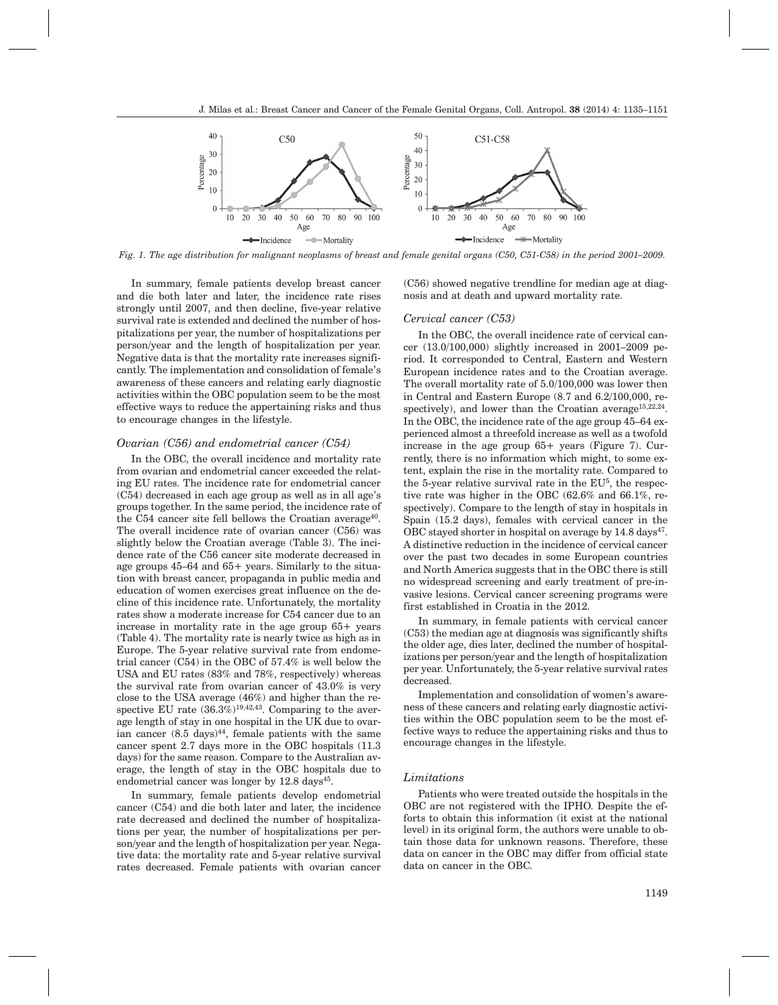

*Fig. 1. The age distribution for malignant neoplasms of breast and female genital organs (C50, C51-C58) in the period 2001–2009.*

In summary, female patients develop breast cancer and die both later and later, the incidence rate rises strongly until 2007, and then decline, five-year relative survival rate is extended and declined the number of hospitalizations per year, the number of hospitalizations per person/year and the length of hospitalization per year. Negative data is that the mortality rate increases significantly. The implementation and consolidation of female's awareness of these cancers and relating early diagnostic activities within the OBC population seem to be the most effective ways to reduce the appertaining risks and thus to encourage changes in the lifestyle.

#### *Ovarian (C56) and endometrial cancer (C54)*

In the OBC, the overall incidence and mortality rate from ovarian and endometrial cancer exceeded the relating EU rates. The incidence rate for endometrial cancer (C54) decreased in each age group as well as in all age's groups together. In the same period, the incidence rate of the C54 cancer site fell bellows the Croatian average<sup>40</sup>. The overall incidence rate of ovarian cancer (C56) was slightly below the Croatian average (Table 3). The incidence rate of the C56 cancer site moderate decreased in age groups 45–64 and 65+ years. Similarly to the situation with breast cancer, propaganda in public media and education of women exercises great influence on the decline of this incidence rate. Unfortunately, the mortality rates show a moderate increase for C54 cancer due to an increase in mortality rate in the age group 65+ years (Table 4). The mortality rate is nearly twice as high as in Europe. The 5-year relative survival rate from endometrial cancer (C54) in the OBC of 57.4% is well below the USA and EU rates (83% and 78%, respectively) whereas the survival rate from ovarian cancer of 43.0% is very close to the USA average (46%) and higher than the respective EU rate  $(36.3\%)^{19,42,43}$ . Comparing to the average length of stay in one hospital in the UK due to ovarian cancer  $(8.5 \text{ days})^{44}$ , female patients with the same cancer spent 2.7 days more in the OBC hospitals (11.3 days) for the same reason. Compare to the Australian average, the length of stay in the OBC hospitals due to endometrial cancer was longer by  $12.8 \text{ days}^{45}$ .

In summary, female patients develop endometrial cancer (C54) and die both later and later, the incidence rate decreased and declined the number of hospitalizations per year, the number of hospitalizations per person/year and the length of hospitalization per year. Negative data: the mortality rate and 5-year relative survival rates decreased. Female patients with ovarian cancer (C56) showed negative trendline for median age at diagnosis and at death and upward mortality rate.

#### *Cervical cancer (C53)*

In the OBC, the overall incidence rate of cervical cancer (13.0/100,000) slightly increased in 2001–2009 period. It corresponded to Central, Eastern and Western European incidence rates and to the Croatian average. The overall mortality rate of 5.0/100,000 was lower then in Central and Eastern Europe (8.7 and 6.2/100,000, respectively), and lower than the Croatian average<sup>15,22,24</sup>. In the OBC, the incidence rate of the age group 45–64 experienced almost a threefold increase as well as a twofold increase in the age group 65+ years (Figure 7). Currently, there is no information which might, to some extent, explain the rise in the mortality rate. Compared to the 5-year relative survival rate in the  $EU<sup>5</sup>$ , the respective rate was higher in the OBC (62.6% and 66.1%, respectively). Compare to the length of stay in hospitals in Spain (15.2 days), females with cervical cancer in the OBC stayed shorter in hospital on average by  $14.8 \text{ days}^{47}$ . A distinctive reduction in the incidence of cervical cancer over the past two decades in some European countries and North America suggests that in the OBC there is still no widespread screening and early treatment of pre-invasive lesions. Cervical cancer screening programs were first established in Croatia in the 2012.

In summary, in female patients with cervical cancer (C53) the median age at diagnosis was significantly shifts the older age, dies later, declined the number of hospitalizations per person/year and the length of hospitalization per year. Unfortunately, the 5-year relative survival rates decreased.

Implementation and consolidation of women's awareness of these cancers and relating early diagnostic activities within the OBC population seem to be the most effective ways to reduce the appertaining risks and thus to encourage changes in the lifestyle.

#### *Limitations*

Patients who were treated outside the hospitals in the OBC are not registered with the IPHO. Despite the efforts to obtain this information (it exist at the national level) in its original form, the authors were unable to obtain those data for unknown reasons. Therefore, these data on cancer in the OBC may differ from official state data on cancer in the OBC.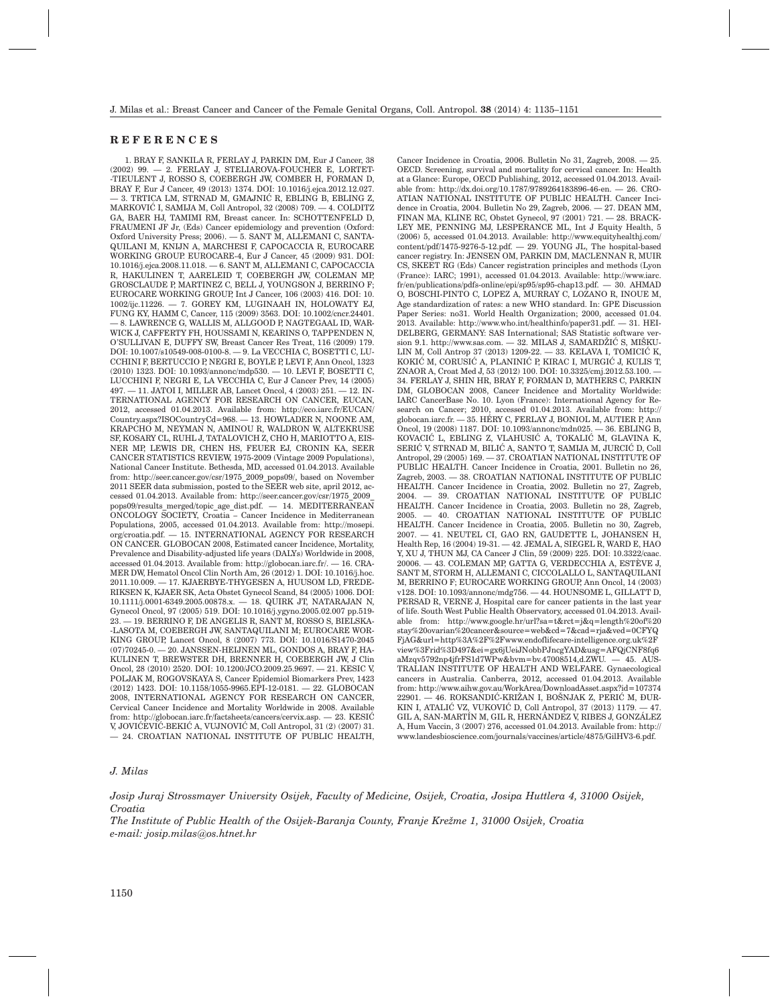#### **REFERENCES**

1. BRAY F, SANKILA R, FERLAY J, PARKIN DM, Eur J Cancer, 38 (2002) 99. — 2. FERLAY J, STELIAROVA-FOUCHER E, LORTET- -TIEULENT J, ROSSO S, COEBERGH JW, COMBER H, FORMAN D, BRAY F, Eur J Cancer, 49 (2013) 1374. DOI: 10.1016/j.ejca.2012.12.027. - 3. TRTICA LM, STRNAD M, GMAJNIĆ R, EBLING B, EBLING Z. MARKOVIĆ I, SAMIJA M, Coll Antropol, 32 (2008) 709. - 4. COLDITZ GA, BAER HJ, TAMIMI RM, Breast cancer. In: SCHOTTENFELD D, FRAUMENI JF Jr, (Eds) Cancer epidemiology and prevention (Oxford: Oxford University Press; 2006). — 5. SANT M, ALLEMANI C, SANTA-QUILANI M, KNIJN A, MARCHESI F, CAPOCACCIA R, EUROCARE WORKING GROUP. EUROCARE-4, Eur J Cancer, 45 (2009) 931. DOI: 10.1016/j.ejca.2008.11.018. — 6. SANT M, ALLEMANI C, CAPOCACCIA R, HAKULINEN T, AARELEID T, COEBERGH JW, COLEMAN MP, GROSCLAUDE P, MARTINEZ C, BELL J, YOUNGSON J, BERRINO F; EUROCARE WORKING GROUP, Int J Cancer, 106 (2003) 416. DOI: 10. 1002/ijc.11226. — 7. GOREY KM, LUGINAAH IN, HOLOWATY EJ, FUNG KY, HAMM C, Cancer, 115 (2009) 3563. DOI: 10.1002/cncr.24401. — 8. LAWRENCE G, WALLIS M, ALLGOOD P, NAGTEGAAL ID, WAR-WICK J, CAFFERTY FH, HOUSSAMI N, KEARINS O, TAPPENDEN N, O'SULLIVAN E, DUFFY SW, Breast Cancer Res Treat, 116 (2009) 179. DOI: 10.1007/s10549-008-0100-8. — 9. La VECCHIA C, BOSETTI C, LU-CCHINI F, BERTUCCIO P, NEGRI E, BOYLE P, LEVI F, Ann Oncol, 1323 (2010) 1323. DOI: 10.1093/annonc/mdp530. — 10. LEVI F, BOSETTI C, LUCCHINI F, NEGRI E, LA VECCHIA C, Eur J Cancer Prev, 14 (2005) 497. — 11. JATOI I, MILLER AB, Lancet Oncol, 4 (2003) 251. — 12. IN-TERNATIONAL AGENCY FOR RESEARCH ON CANCER, EUCAN, 2012, accessed 01.04.2013. Available from: http://eco.iarc.fr/EUCAN/ Country.aspx?ISOCountryCd=968. — 13. HOWLADER N, NOONE AM, KRAPCHO M, NEYMAN N, AMINOU R, WALDRON W, ALTEKRUSE SF, KOSARY CL, RUHL J, TATALOVICH Z, CHO H, MARIOTTO A, EIS-NER MP, LEWIS DR, CHEN HS, FEUER EJ, CRONIN KA, SEER CANCER STATISTICS REVIEW, 1975-2009 (Vintage 2009 Populations), National Cancer Institute. Bethesda, MD, accessed 01.04.2013. Available from: http://seer.cancer.gov/csr/1975\_2009\_pops09/, based on November 2011 SEER data submission, posted to the SEER web site, april 2012, accessed 01.04.2013. Available from: http://seer.cancer.gov/csr/1975\_2009\_  $\rm pops09/results\_merged/topic\_age\_dist.pdf. \ \ } - \ \ 14. \ \ \rm \v{MEDITERRANEAN}$ ONCOLOGY SOCIETY, Croatia – Cancer Incidence in Mediterranean Populations, 2005, accessed 01.04.2013. Available from: http://mosepi. org/croatia.pdf. — 15. INTERNATIONAL AGENCY FOR RESEARCH ON CANCER. GLOBOCAN 2008, Estimated cancer Incidence, Mortality, Prevalence and Disability-adjusted life years (DALYs) Worldwide in 2008, accessed 01.04.2013. Available from: http://globocan.iarc.fr/. — 16. CRA-MER DW, Hematol Oncol Clin North Am, 26 (2012) 1. DOI: 10.1016/j.hoc. 2011.10.009. — 17. KJAERBYE-THYGESEN A, HUUSOM LD, FREDE-RIKSEN K, KJAER SK, Acta Obstet Gynecol Scand, 84 (2005) 1006. DOI: 10.1111/j.0001-6349.2005.00878.x. — 18. QUIRK JT, NATARAJAN N, Gynecol Oncol, 97 (2005) 519. DOI: 10.1016/j.ygyno.2005.02.007 pp.519- 23. — 19. BERRINO F, DE ANGELIS R, SANT M, ROSSO S, BIELSKA- -LASOTA M, COEBERGH JW, SANTAQUILANI M; EUROCARE WOR-KING GROUP, Lancet Oncol, 8 (2007) 773. DOI: 10.1016/S1470-2045 (07)70245-0. — 20. JANSSEN-HEIJNEN ML, GONDOS A, BRAY F, HA-KULINEN T, BREWSTER DH, BRENNER H, COEBERGH JW, J Clin Oncol, 28 (2010) 2520. DOI: 10.1200/JCO.2009.25.9697. — 21. KESIC V, POLJAK M, ROGOVSKAYA S, Cancer Epidemiol Biomarkers Prev, 1423 (2012) 1423. DOI: 10.1158/1055-9965.EPI-12-0181. — 22. GLOBOCAN 2008, INTERNATIONAL AGENCY FOR RESEARCH ON CANCER, Cervical Cancer Incidence and Mortality Worldwide in 2008. Available from: http://globocan.iarc.fr/factsheets/cancers/cervix.asp. - 23. KESIĆ V, JOVIĆEVIĆ-BEKIĆ A, VUJNOVIĆ M, Coll Antropol, 31 (2) (2007) 31. — 24. CROATIAN NATIONAL INSTITUTE OF PUBLIC HEALTH,

Cancer Incidence in Croatia, 2006. Bulletin No 31, Zagreb, 2008. — 25. OECD. Screening, survival and mortality for cervical cancer. In: Health at a Glance: Europe, OECD Publishing, 2012, accessed 01.04.2013. Available from: http://dx.doi.org/10.1787/9789264183896-46-en. — 26. CRO-ATIAN NATIONAL INSTITUTE OF PUBLIC HEALTH. Cancer Incidence in Croatia, 2004. Bulletin No 29, Zagreb, 2006. — 27. DEAN MM, FINAN MA, KLINE RC, Obstet Gynecol, 97 (2001) 721. — 28. BRACK-LEY ME, PENNING MJ, LESPERANCE ML, Int J Equity Health, 5 (2006) 5, accessed 01.04.2013. Available: http://www.equityhealthj.com/  $content/bdf/1475-9276-5-12.pdf. = 29.$  YOUNG JL. The hospital-based cancer registry. In: JENSEN OM, PARKIN DM, MACLENNAN R, MUIR CS, SKEET RG (Eds) Cancer registration principles and methods (Lyon (France): IARC; 1991), accessed 01.04.2013. Available: http://www.iarc. fr/en/publications/pdfs-online/epi/sp95/sp95-chap13.pdf. — 30. AHMAD O, BOSCHI-PINTO C, LOPEZ A, MURRAY C, LOZANO R, INOUE M, Age standardization of rates: a new WHO standard. In: GPE Discussion Paper Series: no31. World Health Organization; 2000, accessed 01.04. 2013. Available: http://www.who.int/healthinfo/paper31.pdf. — 31. HEI-DELBERG, GERMANY: SAS International; SAS Statistic software version 9.1. http://www.sas.com. - 32. MILAS J, SAMARDŽIĆ S, MIŠKU-LIN M, Coll Antrop 37 (2013) 1209-22. — 33. KELAVA I, TOMICIĆ K, KOKIĆ M, CORUSIĆ A, PLANINIĆ P, KIRAC I, MURGIĆ J, KULIS T, ZNAOR A, Croat Med J, 53 (2012) 100. DOI: 10.3325/cmj.2012.53.100. — 34. FERLAY J, SHIN HR, BRAY F, FORMAN D, MATHERS C, PARKIN DM, GLOBOCAN 2008, Cancer Incidence and Mortality Worldwide: IARC CancerBase No. 10. Lyon (France): International Agency for Research on Cancer; 2010, accessed 01.04.2013. Available from: http:// globocan.iarc.fr. — 35. HÉRY C, FERLAY J, BONIOL M, AUTIER P, Ann Oncol, 19 (2008) 1187. DOI: 10.1093/annonc/mdn025. — 36. EBLING B, KOVACIĆ L, EBLING Z, VLAHUSIĆ A, TOKALIĆ M, GLAVINA K, SERIĆ V, STRNAD M, BILIĆ A, SANTO T, SAMIJA M, JURCIĆ D, Coll Antropol, 29 (2005) 169. — 37. CROATIAN NATIONAL INSTITUTE OF PUBLIC HEALTH. Cancer Incidence in Croatia, 2001. Bulletin no 26, Zagreb, 2003. — 38. CROATIAN NATIONAL INSTITUTE OF PUBLIC HEALTH. Cancer Incidence in Croatia, 2002. Bulletin no 27, Zagreb, 2004. — 39. CROATIAN NATIONAL INSTITUTE OF PUBLIC HEALTH. Cancer Incidence in Croatia, 2003. Bulletin no 28, Zagreb, 2005. — 40. CROATIAN NATIONAL INSTITUTE OF PUBLIC HEALTH. Cancer Incidence in Croatia, 2005. Bulletin no 30, Zagreb, 2007. — 41. NEUTEL CI, GAO RN, GAUDETTE L, JOHANSEN H, Health Rep, 16 (2004) 19-31. — 42. JEMAL A, SIEGEL R, WARD E, HAO Y, XU J, THUN MJ, CA Cancer J Clin, 59 (2009) 225. DOI: 10.3322/caac. 20006. — 43. COLEMAN MP, GATTA G, VERDECCHIA A, ESTÈVE J, SANT M, STORM H, ALLEMANI C, CICCOLALLO L, SANTAQUILANI M, BERRINO F; EUROCARE WORKING GROUP, Ann Oncol, 14 (2003) v128. DOI: 10.1093/annonc/mdg756. — 44. HOUNSOME L, GILLATT D, PERSAD R, VERNE J, Hospital care for cancer patients in the last year of life. South West Public Health Observatory, accessed 01.04.2013. Available from: http://www.google.hr/url?sa=t&rct=j&q=length%20of%20 stay%20ovarian%20cancer&source=web&cd=7&cad=rja&ved=0CFYQ FjAG&url=http%3A%2F%2Fwww.endoflifecare-intelligence.org.uk%2F view%3Frid%3D497&ei=gx6jUeiJNobbPJncgYAD&usg=AFQjCNF8fq6  $aMzqv5792np4$ jfr $FS1d7WPy$ w $& bvm=bv.47008514$ ,d.ZWU.  $-45.$  AUS-TRALIAN INSTITUTE OF HEALTH AND WELFARE. Gynaecological cancers in Australia. Canberra, 2012, accessed 01.04.2013. Available from: http://www.aihw.gov.au/WorkArea/DownloadAsset.aspx?id=107374  $22901. - 46.$  ROKSANDIĆ-KRIŽAN I, BOŠNJAK Z, PERIĆ M, ĐUR-KIN I, ATALIĆ VZ, VUKOVIĆ D, Coll Antropol, 37 (2013) 1179. -- 47. GIL A, SAN-MARTÍN M, GIL R, HERNÁNDEZ V, RIBES J, GONZÁLEZ A, Hum Vaccin, 3 (2007) 276, accessed 01.04.2013. Available from: http:// www.landesbioscience.com/journals/vaccines/article/4875/GilHV3-6.pdf.

#### *J. Milas*

*Josip Juraj Strossmayer University Osijek, Faculty of Medicine, Osijek, Croatia, Josipa Huttlera 4, 31000 Osijek, Croatia*

*The Institute of Public Health of the Osijek-Baranja County, Franje Kre`me 1, 31000 Osijek, Croatia e-mail: josip.milas@os.htnet.hr*